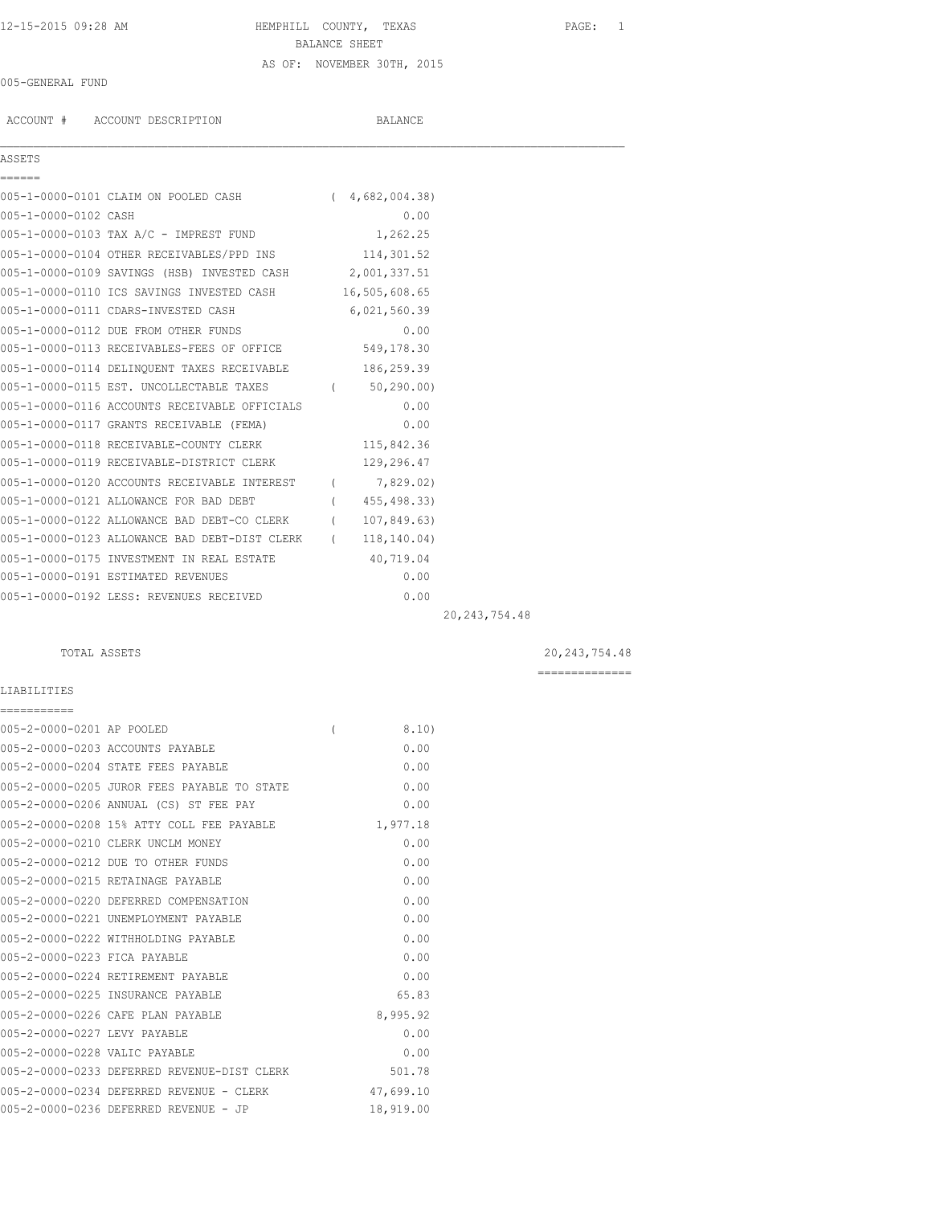# 12-15-2015 09:28 AM HEMPHILL COUNTY, TEXAS PAGE: 1 BALANCE SHEET AS OF: NOVEMBER 30TH, 2015

### 005-GENERAL FUND

ACCOUNT # ACCOUNT DESCRIPTION BALANCE

| ASSETS<br>======                   |                                                            |                |  |
|------------------------------------|------------------------------------------------------------|----------------|--|
|                                    | 005-1-0000-0101 CLAIM ON POOLED CASH (4,682,004.38)        |                |  |
| 005-1-0000-0102 CASH               |                                                            | 0.00           |  |
|                                    | 005-1-0000-0103 TAX A/C - IMPREST FUND 1,262.25            |                |  |
|                                    | 005-1-0000-0104 OTHER RECEIVABLES/PPD INS 114,301.52       |                |  |
|                                    | 005-1-0000-0109 SAVINGS (HSB) INVESTED CASH 2,001,337.51   |                |  |
|                                    | 005-1-0000-0110 ICS SAVINGS INVESTED CASH 16,505,608.65    |                |  |
|                                    | 005-1-0000-0111 CDARS-INVESTED CASH                        | 6,021,560.39   |  |
|                                    | 005-1-0000-0112 DUE FROM OTHER FUNDS                       | 0.00           |  |
|                                    | 005-1-0000-0113 RECEIVABLES-FEES OF OFFICE 549,178.30      |                |  |
|                                    | 005-1-0000-0114 DELINQUENT TAXES RECEIVABLE 186,259.39     |                |  |
|                                    | 005-1-0000-0115 EST. UNCOLLECTABLE TAXES (67.290.00)       |                |  |
|                                    | 005-1-0000-0116 ACCOUNTS RECEIVABLE OFFICIALS              | 0.00           |  |
|                                    | 005-1-0000-0117 GRANTS RECEIVABLE (FEMA)                   | 0.00           |  |
|                                    | 005-1-0000-0118 RECEIVABLE-COUNTY CLERK 115,842.36         |                |  |
|                                    | 005-1-0000-0119 RECEIVABLE-DISTRICT CLERK                  | 129,296.47     |  |
|                                    | 005-1-0000-0120 ACCOUNTS RECEIVABLE INTEREST (7,829.02)    |                |  |
|                                    | 005-1-0000-0121 ALLOWANCE FOR BAD DEBT                     | (455, 498, 33) |  |
|                                    | 005-1-0000-0122 ALLOWANCE BAD DEBT-CO CLERK (107,849.63)   |                |  |
|                                    | 005-1-0000-0123 ALLOWANCE BAD DEBT-DIST CLERK (118,140.04) |                |  |
|                                    | 005-1-0000-0175 INVESTMENT IN REAL ESTATE 40,719.04        |                |  |
| 005-1-0000-0191 ESTIMATED REVENUES |                                                            | 0.00           |  |
|                                    | 005-1-0000-0192 LESS: REVENUES RECEIVED                    | 0.00           |  |
|                                    |                                                            |                |  |

20,243,754.48

# TOTAL ASSETS 20,243,754.48

==============

### LIABILITIES

| ===========                   |                                             |                |           |
|-------------------------------|---------------------------------------------|----------------|-----------|
| 005-2-0000-0201 AP POOLED     |                                             | $\overline{(}$ | 8.10)     |
|                               | 005-2-0000-0203 ACCOUNTS PAYABLE            |                | 0.00      |
|                               | 005-2-0000-0204 STATE FEES PAYABLE          |                | 0.00      |
|                               | 005-2-0000-0205 JUROR FEES PAYABLE TO STATE |                | 0.00      |
|                               | 005-2-0000-0206 ANNUAL (CS) ST FEE PAY      |                | 0.00      |
|                               | 005-2-0000-0208 15% ATTY COLL FEE PAYABLE   |                | 1,977.18  |
|                               | 005-2-0000-0210 CLERK UNCLM MONEY           |                | 0.00      |
|                               | 005-2-0000-0212 DUE TO OTHER FUNDS          |                | 0.00      |
|                               | 005-2-0000-0215 RETAINAGE PAYABLE           |                | 0.00      |
|                               | 005-2-0000-0220 DEFERRED COMPENSATION       |                | 0.00      |
|                               | 005-2-0000-0221 UNEMPLOYMENT PAYABLE        |                | 0.00      |
|                               | 005-2-0000-0222 WITHHOLDING PAYABLE         |                | 0.00      |
| 005-2-0000-0223 FICA PAYABLE  |                                             |                | 0.00      |
|                               | 005-2-0000-0224 RETIREMENT PAYABLE          |                | 0.00      |
|                               | 005-2-0000-0225 INSURANCE PAYABLE           |                | 65.83     |
|                               | 005-2-0000-0226 CAFE PLAN PAYABLE           |                | 8,995.92  |
| 005-2-0000-0227 LEVY PAYABLE  |                                             |                | 0.00      |
| 005-2-0000-0228 VALIC PAYABLE |                                             |                | 0.00      |
|                               | 005-2-0000-0233 DEFERRED REVENUE-DIST CLERK |                | 501.78    |
|                               | 005-2-0000-0234 DEFERRED REVENUE - CLERK    |                | 47,699.10 |
|                               | 005-2-0000-0236 DEFERRED REVENUE - JP       |                | 18,919.00 |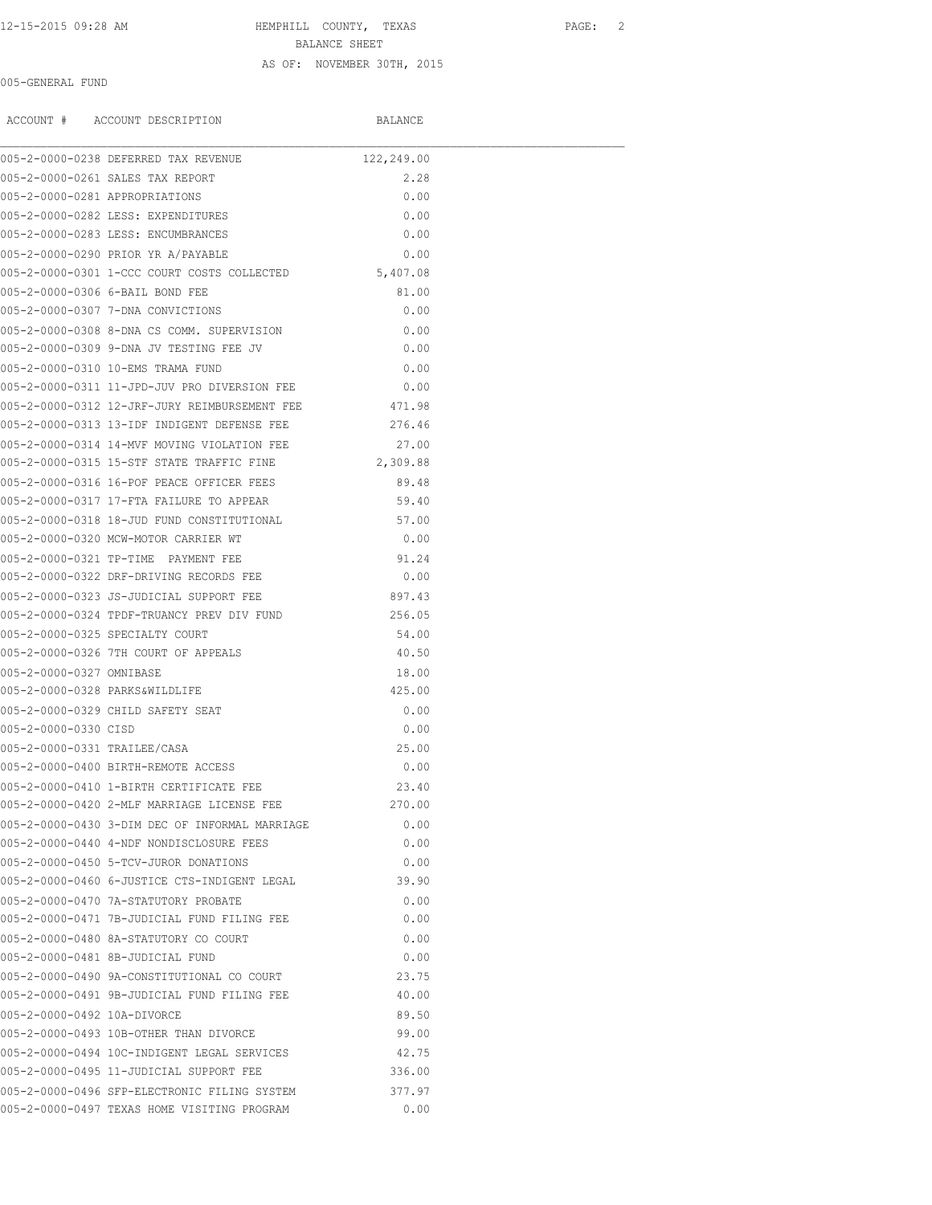# 12-15-2015 09:28 AM HEMPHILL COUNTY, TEXAS PAGE: 2 BALANCE SHEET AS OF: NOVEMBER 30TH, 2015

### 005-GENERAL FUND

ACCOUNT # ACCOUNT DESCRIPTION BALANCE

|                                | 005-2-0000-0238 DEFERRED TAX REVENUE                                                       | 122,249.00   |  |
|--------------------------------|--------------------------------------------------------------------------------------------|--------------|--|
|                                | 005-2-0000-0261 SALES TAX REPORT                                                           | 2.28         |  |
| 005-2-0000-0281 APPROPRIATIONS |                                                                                            | 0.00         |  |
|                                | 005-2-0000-0282 LESS: EXPENDITURES                                                         | 0.00         |  |
|                                | 005-2-0000-0283 LESS: ENCUMBRANCES                                                         | 0.00         |  |
|                                | 005-2-0000-0290 PRIOR YR A/PAYABLE                                                         | 0.00         |  |
|                                | 005-2-0000-0301 1-CCC COURT COSTS COLLECTED 5,407.08                                       |              |  |
|                                | 005-2-0000-0306 6-BAIL BOND FEE                                                            | 81.00        |  |
|                                | 005-2-0000-0307 7-DNA CONVICTIONS                                                          | 0.00         |  |
|                                | 005-2-0000-0308 8-DNA CS COMM. SUPERVISION                                                 | 0.00         |  |
|                                | 005-2-0000-0309 9-DNA JV TESTING FEE JV                                                    | 0.00         |  |
|                                | 005-2-0000-0310 10-EMS TRAMA FUND                                                          | 0.00         |  |
|                                | 005-2-0000-0311 11-JPD-JUV PRO DIVERSION FEE                                               | 0.00         |  |
|                                | 005-2-0000-0312 12-JRF-JURY REIMBURSEMENT FEE                                              | 471.98       |  |
|                                | 005-2-0000-0313 13-IDF INDIGENT DEFENSE FEE                                                | 276.46       |  |
|                                | 005-2-0000-0314 14-MVF MOVING VIOLATION FEE                                                | 27.00        |  |
|                                | 005-2-0000-0315 15-STF STATE TRAFFIC FINE                                                  | 2,309.88     |  |
|                                | 005-2-0000-0316 16-POF PEACE OFFICER FEES                                                  | 89.48        |  |
|                                | 005-2-0000-0317 17-FTA FAILURE TO APPEAR                                                   | 59.40        |  |
|                                | 005-2-0000-0318 18-JUD FUND CONSTITUTIONAL                                                 | 57.00        |  |
|                                | 005-2-0000-0320 MCW-MOTOR CARRIER WT                                                       | 0.00         |  |
|                                | 005-2-0000-0321 TP-TIME PAYMENT FEE                                                        | 91.24        |  |
|                                | 005-2-0000-0322 DRF-DRIVING RECORDS FEE                                                    | 0.00         |  |
|                                | 005-2-0000-0323 JS-JUDICIAL SUPPORT FEE                                                    | 897.43       |  |
|                                |                                                                                            | 256.05       |  |
|                                | 005-2-0000-0324 TPDF-TRUANCY PREV DIV FUND<br>005-2-0000-0325 SPECIALTY COURT              | 54.00        |  |
|                                | 005-2-0000-0326 7TH COURT OF APPEALS                                                       | 40.50        |  |
| 005-2-0000-0327 OMNIBASE       |                                                                                            | 18.00        |  |
| 005-2-0000-0328 PARKS&WILDLIFE |                                                                                            | 425.00       |  |
|                                | 005-2-0000-0329 CHILD SAFETY SEAT                                                          | 0.00         |  |
| 005-2-0000-0330 CTSD           |                                                                                            | 0.00         |  |
| 005-2-0000-0331 TRAILEE/CASA   |                                                                                            | 25.00        |  |
|                                | 005-2-0000-0400 BIRTH-REMOTE ACCESS                                                        | 0.00         |  |
|                                | 005-2-0000-0410 1-BIRTH CERTIFICATE FEE                                                    | 23.40        |  |
|                                | 005-2-0000-0420 2-MLF MARRIAGE LICENSE FEE                                                 | 270.00       |  |
|                                |                                                                                            |              |  |
|                                | 005-2-0000-0430 3-DIM DEC OF INFORMAL MARRIAGE<br>005-2-0000-0440 4-NDF NONDISCLOSURE FEES | 0.00<br>0.00 |  |
|                                | 005-2-0000-0450 5-TCV-JUROR DONATIONS                                                      |              |  |
|                                |                                                                                            | 0.00         |  |
|                                | 005-2-0000-0460 6-JUSTICE CTS-INDIGENT LEGAL                                               | 39.90        |  |
|                                | 005-2-0000-0470 7A-STATUTORY PROBATE                                                       | 0.00         |  |
|                                | 005-2-0000-0471 7B-JUDICIAL FUND FILING FEE                                                | 0.00         |  |
|                                | 005-2-0000-0480 8A-STATUTORY CO COURT                                                      | 0.00         |  |
|                                | 005-2-0000-0481 8B-JUDICIAL FUND                                                           | 0.00         |  |
|                                | 005-2-0000-0490 9A-CONSTITUTIONAL CO COURT                                                 | 23.75        |  |
|                                | 005-2-0000-0491 9B-JUDICIAL FUND FILING FEE                                                | 40.00        |  |
| 005-2-0000-0492 10A-DIVORCE    |                                                                                            | 89.50        |  |
|                                | 005-2-0000-0493 10B-OTHER THAN DIVORCE                                                     | 99.00        |  |
|                                | 005-2-0000-0494 10C-INDIGENT LEGAL SERVICES                                                | 42.75        |  |
|                                | 005-2-0000-0495 11-JUDICIAL SUPPORT FEE                                                    | 336.00       |  |
|                                | 005-2-0000-0496 SFP-ELECTRONIC FILING SYSTEM                                               | 377.97       |  |
|                                | 005-2-0000-0497 TEXAS HOME VISITING PROGRAM                                                | 0.00         |  |
|                                |                                                                                            |              |  |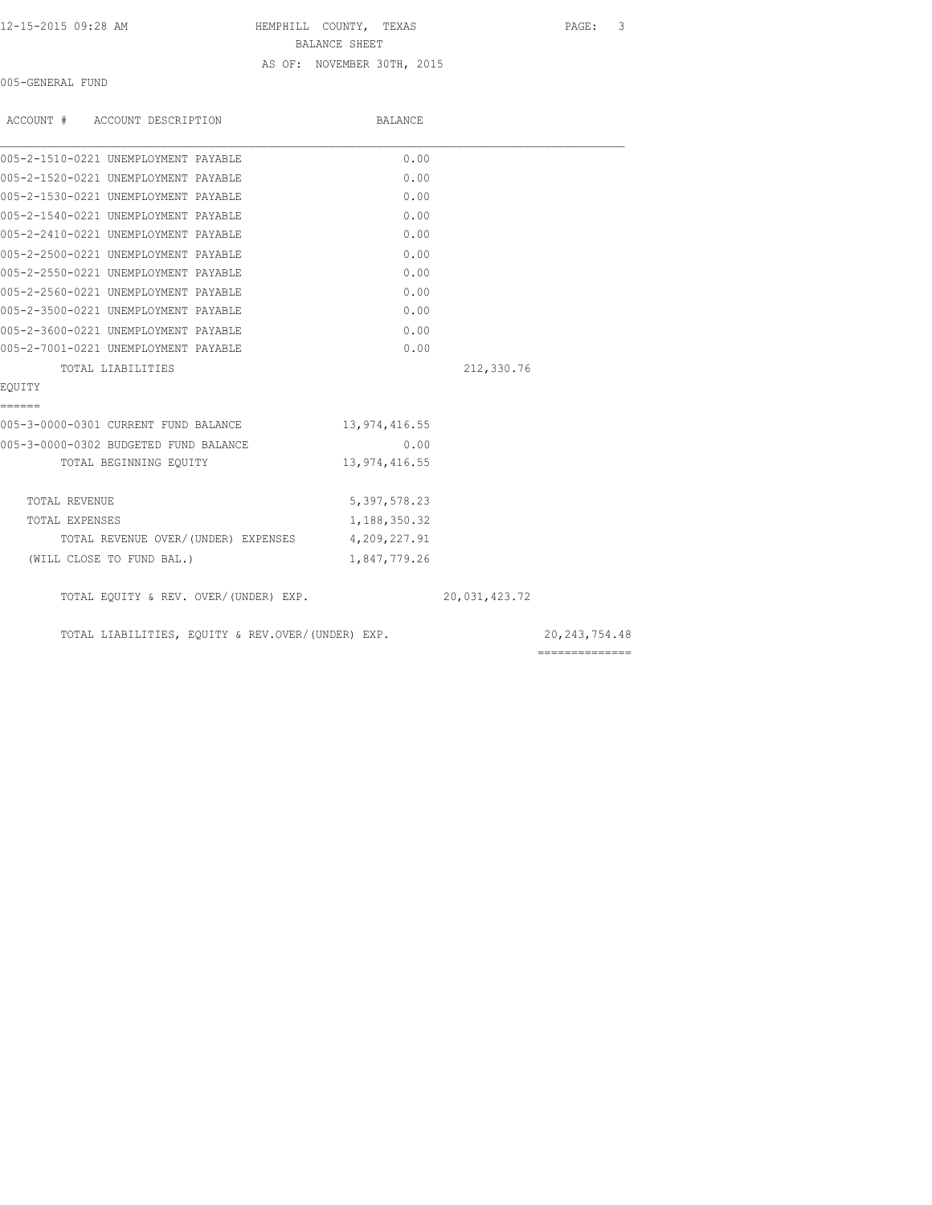12-15-2015 09:28 AM HEMPHILL COUNTY, TEXAS PAGE: 3 BALANCE SHEET AS OF: NOVEMBER 30TH, 2015

005-GENERAL FUND

| ACCOUNT # ACCOUNT DESCRIPTION                     | <b>BALANCE</b>  |               |                 |
|---------------------------------------------------|-----------------|---------------|-----------------|
| 005-2-1510-0221 UNEMPLOYMENT PAYABLE              | 0.00            |               |                 |
| 005-2-1520-0221 UNEMPLOYMENT PAYABLE              | 0.00            |               |                 |
| 005-2-1530-0221 UNEMPLOYMENT PAYABLE              | 0.00            |               |                 |
| 005-2-1540-0221 UNEMPLOYMENT PAYABLE              | 0.00            |               |                 |
| 005-2-2410-0221 UNEMPLOYMENT PAYABLE              | 0.00            |               |                 |
| 005-2-2500-0221 UNEMPLOYMENT PAYABLE              | 0.00            |               |                 |
| 005-2-2550-0221 UNEMPLOYMENT PAYABLE              | 0.00            |               |                 |
| 005-2-2560-0221 UNEMPLOYMENT PAYABLE              | 0.00            |               |                 |
| 005-2-3500-0221 UNEMPLOYMENT PAYABLE              | 0.00            |               |                 |
| 005-2-3600-0221 UNEMPLOYMENT PAYABLE              | 0.00            |               |                 |
| 005-2-7001-0221 UNEMPLOYMENT PAYABLE              | 0.00            |               |                 |
| TOTAL LIABILITIES                                 |                 | 212,330.76    |                 |
| EQUITY                                            |                 |               |                 |
| ======                                            |                 |               |                 |
| 005-3-0000-0301 CURRENT FUND BALANCE              | 13,974,416.55   |               |                 |
| 005-3-0000-0302 BUDGETED FUND BALANCE             | 0.00            |               |                 |
| TOTAL BEGINNING EQUITY                            | 13, 974, 416.55 |               |                 |
| TOTAL REVENUE                                     | 5,397,578.23    |               |                 |
| TOTAL EXPENSES                                    | 1,188,350.32    |               |                 |
| TOTAL REVENUE OVER/(UNDER) EXPENSES 4,209,227.91  |                 |               |                 |
| (WILL CLOSE TO FUND BAL.)                         | 1,847,779.26    |               |                 |
| TOTAL EQUITY & REV. OVER/(UNDER) EXP.             |                 | 20,031,423.72 |                 |
| TOTAL LIABILITIES, EQUITY & REV.OVER/(UNDER) EXP. |                 |               | 20, 243, 754.48 |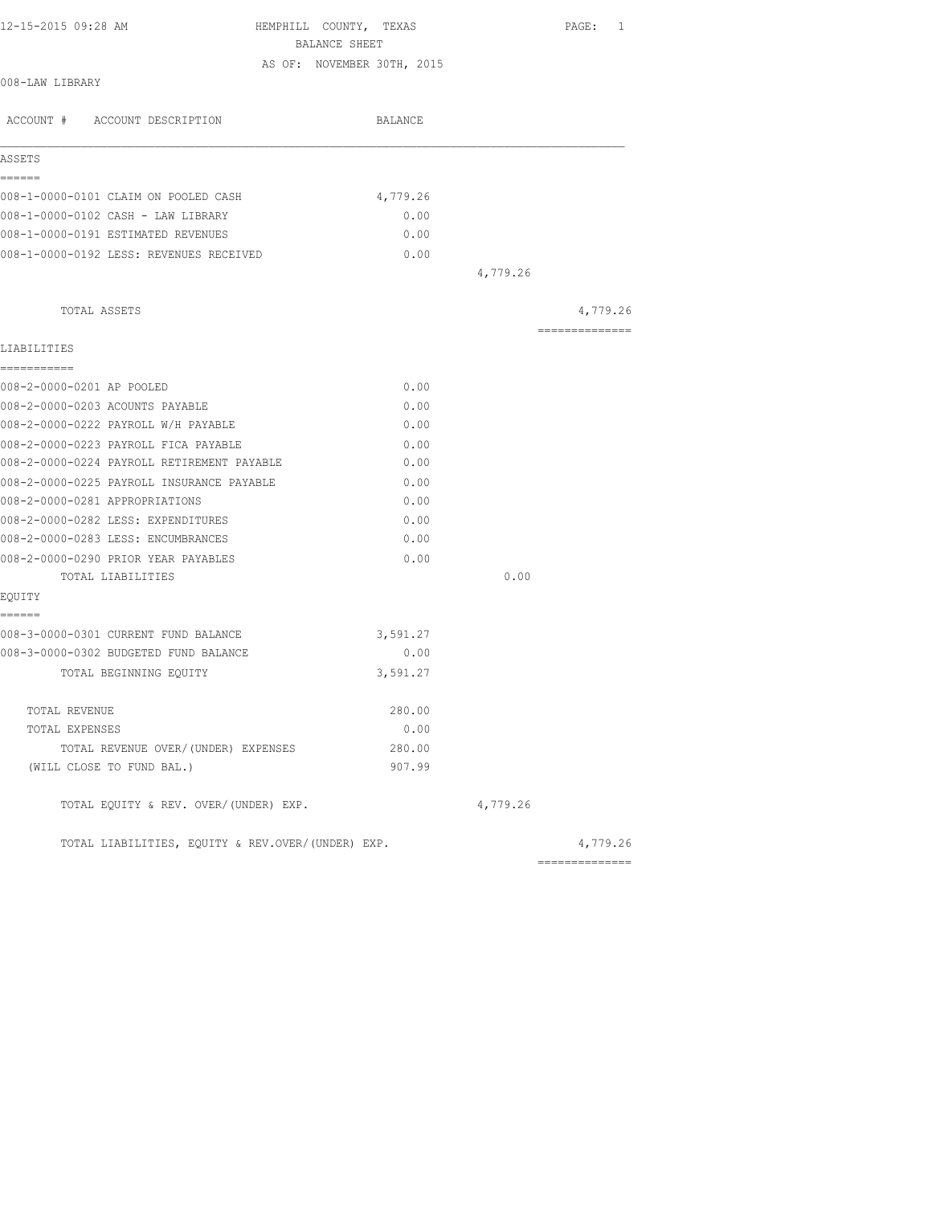| 12-15-2015 09:28 AM                               | HEMPHILL COUNTY, TEXAS<br>BALANCE SHEET |          | PAGE: 1         |
|---------------------------------------------------|-----------------------------------------|----------|-----------------|
|                                                   | AS OF: NOVEMBER 30TH, 2015              |          |                 |
| 008-LAW LIBRARY                                   |                                         |          |                 |
| ACCOUNT # ACCOUNT DESCRIPTION                     | BALANCE                                 |          |                 |
| ASSETS                                            |                                         |          |                 |
| ======                                            |                                         |          |                 |
| 008-1-0000-0101 CLAIM ON POOLED CASH              | 4,779.26                                |          |                 |
| 008-1-0000-0102 CASH - LAW LIBRARY                |                                         | 0.00     |                 |
| 008-1-0000-0191 ESTIMATED REVENUES                |                                         | 0.00     |                 |
| 008-1-0000-0192 LESS: REVENUES RECEIVED           |                                         | 0.00     |                 |
|                                                   |                                         | 4,779.26 |                 |
| TOTAL ASSETS                                      |                                         |          | 4,779.26        |
|                                                   |                                         |          | --------------- |
| LIABILITIES                                       |                                         |          |                 |
| ===========                                       |                                         |          |                 |
| 008-2-0000-0201 AP POOLED                         |                                         | 0.00     |                 |
| 008-2-0000-0203 ACOUNTS PAYABLE                   |                                         | 0.00     |                 |
| 008-2-0000-0222 PAYROLL W/H PAYABLE               |                                         | 0.00     |                 |
| 008-2-0000-0223 PAYROLL FICA PAYABLE              |                                         | 0.00     |                 |
| 008-2-0000-0224 PAYROLL RETIREMENT PAYABLE        |                                         | 0.00     |                 |
| 008-2-0000-0225 PAYROLL INSURANCE PAYABLE         |                                         | 0.00     |                 |
| 008-2-0000-0281 APPROPRIATIONS                    |                                         | 0.00     |                 |
| 008-2-0000-0282 LESS: EXPENDITURES                |                                         | 0.00     |                 |
| 008-2-0000-0283 LESS: ENCUMBRANCES                |                                         | 0.00     |                 |
| 008-2-0000-0290 PRIOR YEAR PAYABLES               |                                         | 0.00     |                 |
| TOTAL LIABILITIES                                 |                                         | 0.00     |                 |
| EQUITY                                            |                                         |          |                 |
| ======                                            |                                         |          |                 |
| 008-3-0000-0301 CURRENT FUND BALANCE              | 3,591.27                                |          |                 |
| 008-3-0000-0302 BUDGETED FUND BALANCE             |                                         | 0.00     |                 |
| TOTAL BEGINNING EQUITY                            | 3,591.27                                |          |                 |
| TOTAL REVENUE                                     |                                         | 280.00   |                 |
| TOTAL EXPENSES                                    |                                         | 0.00     |                 |
| TOTAL REVENUE OVER/(UNDER) EXPENSES               |                                         | 280.00   |                 |
| (WILL CLOSE TO FUND BAL.)                         |                                         | 907.99   |                 |
| TOTAL EQUITY & REV. OVER/(UNDER) EXP.             |                                         | 4,779.26 |                 |
| TOTAL LIABILITIES, EOUITY & REV.OVER/(UNDER) EXP. |                                         |          | 4,779.26        |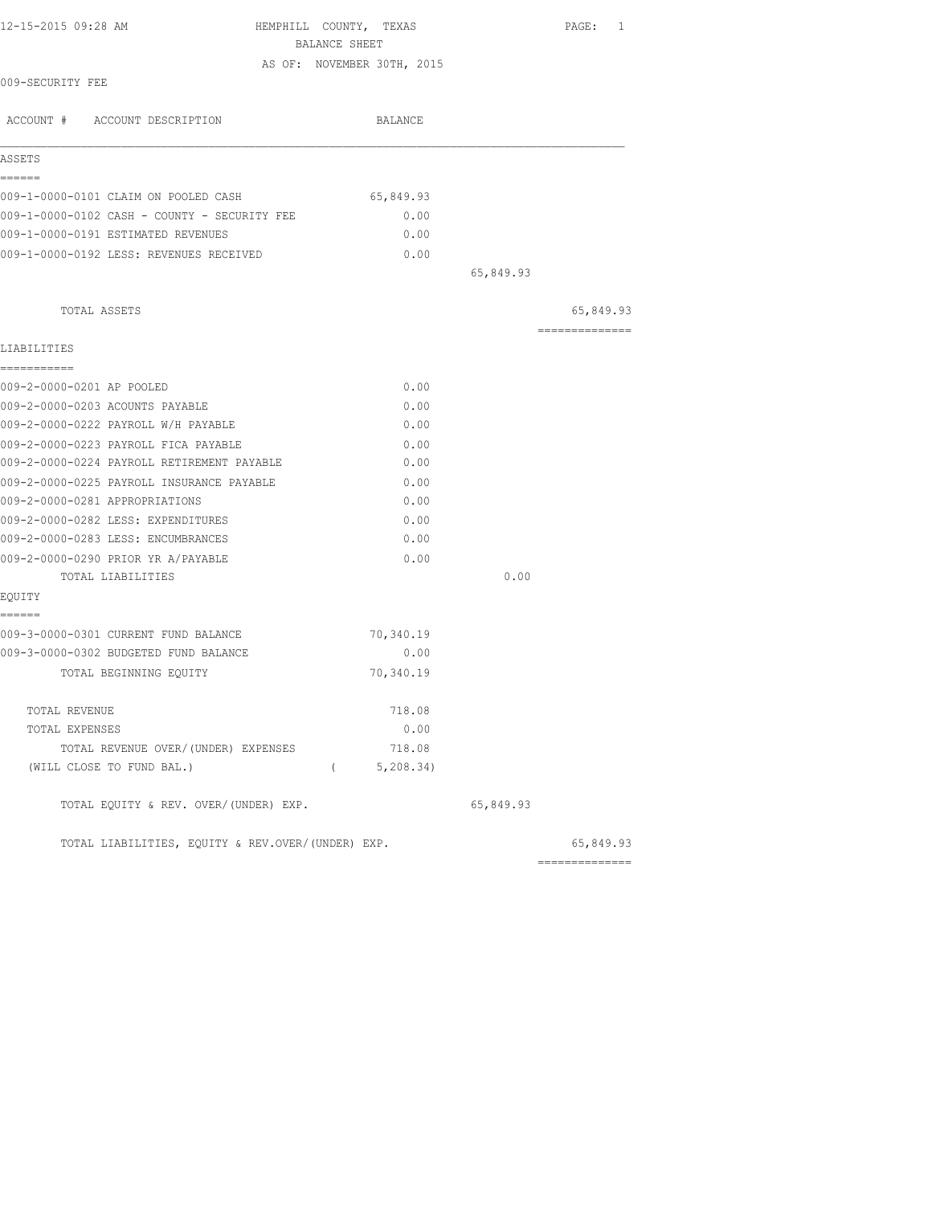| 12-15-2015 09:28 AM                               | HEMPHILL COUNTY, TEXAS |                            |           | PAGE: 1        |
|---------------------------------------------------|------------------------|----------------------------|-----------|----------------|
|                                                   | BALANCE SHEET          |                            |           |                |
| 009-SECURITY FEE                                  |                        | AS OF: NOVEMBER 30TH, 2015 |           |                |
|                                                   |                        |                            |           |                |
| ACCOUNT # ACCOUNT DESCRIPTION                     |                        | BALANCE                    |           |                |
| ASSETS                                            |                        |                            |           |                |
| ------                                            |                        |                            |           |                |
| 009-1-0000-0101 CLAIM ON POOLED CASH              |                        | 65,849.93                  |           |                |
| 009-1-0000-0102 CASH - COUNTY - SECURITY FEE      |                        | 0.00                       |           |                |
| 009-1-0000-0191 ESTIMATED REVENUES                |                        | 0.00                       |           |                |
| 009-1-0000-0192 LESS: REVENUES RECEIVED           |                        | 0.00                       |           |                |
|                                                   |                        |                            | 65,849.93 |                |
| TOTAL ASSETS                                      |                        |                            |           | 65,849.93      |
|                                                   |                        |                            |           | ============== |
| LIABILITIES<br>-----------                        |                        |                            |           |                |
| 009-2-0000-0201 AP POOLED                         |                        | 0.00                       |           |                |
| 009-2-0000-0203 ACOUNTS PAYABLE                   |                        | 0.00                       |           |                |
| 009-2-0000-0222 PAYROLL W/H PAYABLE               |                        | 0.00                       |           |                |
| 009-2-0000-0223 PAYROLL FICA PAYABLE              |                        | 0.00                       |           |                |
| 009-2-0000-0224 PAYROLL RETIREMENT PAYABLE        |                        | 0.00                       |           |                |
| 009-2-0000-0225 PAYROLL INSURANCE PAYABLE         |                        | 0.00                       |           |                |
| 009-2-0000-0281 APPROPRIATIONS                    |                        | 0.00                       |           |                |
| 009-2-0000-0282 LESS: EXPENDITURES                |                        | 0.00                       |           |                |
| 009-2-0000-0283 LESS: ENCUMBRANCES                |                        | 0.00                       |           |                |
| 009-2-0000-0290 PRIOR YR A/PAYABLE                |                        | 0.00                       |           |                |
| TOTAL LIABILITIES                                 |                        |                            | 0.00      |                |
| EQUITY                                            |                        |                            |           |                |
| ======<br>009-3-0000-0301 CURRENT FUND BALANCE    |                        | 70,340.19                  |           |                |
| 009-3-0000-0302 BUDGETED FUND BALANCE             |                        | 0.00                       |           |                |
| TOTAL BEGINNING EQUITY                            |                        | 70,340.19                  |           |                |
| TOTAL REVENUE                                     |                        | 718.08                     |           |                |
| TOTAL EXPENSES                                    |                        | 0.00                       |           |                |
| TOTAL REVENUE OVER/(UNDER) EXPENSES               |                        | 718.08                     |           |                |
| (WILL CLOSE TO FUND BAL.)                         |                        | (5, 208.34)                |           |                |
| TOTAL EQUITY & REV. OVER/(UNDER) EXP.             |                        |                            | 65,849.93 |                |
| TOTAL LIABILITIES, EQUITY & REV.OVER/(UNDER) EXP. |                        |                            |           | 65,849.93      |
|                                                   |                        |                            |           | -------------- |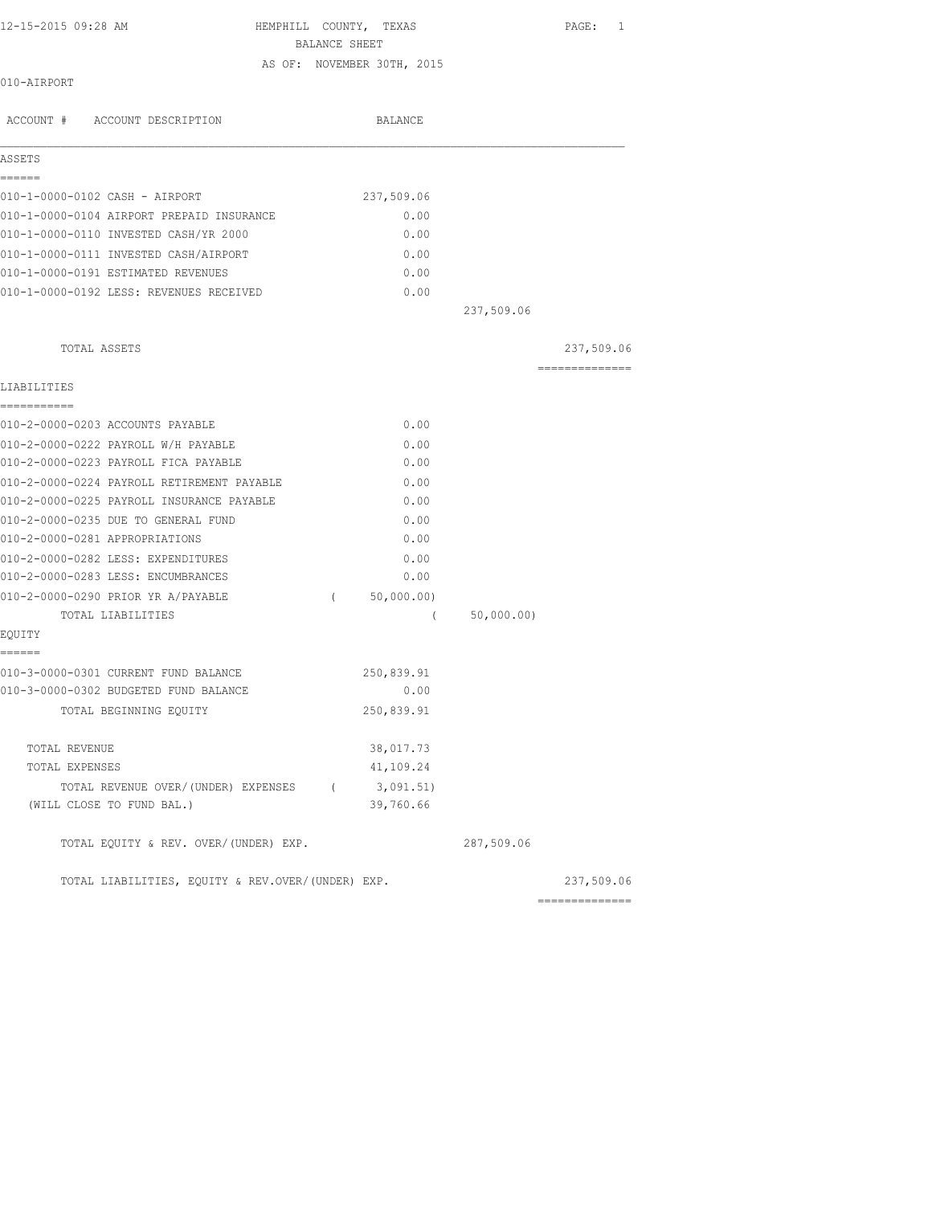HEMPHILL COUNTY, TEXAS PAGE: 1 BALANCE SHEET AS OF: NOVEMBER 30TH, 2015

### 010-AIRPORT

| ACCOUNT # ACCOUNT DESCRIPTION                     |          | <b>BALANCE</b> |            |                 |
|---------------------------------------------------|----------|----------------|------------|-----------------|
| ASSETS                                            |          |                |            |                 |
| ------                                            |          |                |            |                 |
| 010-1-0000-0102 CASH - AIRPORT                    |          | 237,509.06     |            |                 |
| 010-1-0000-0104 AIRPORT PREPAID INSURANCE         |          | 0.00           |            |                 |
| 010-1-0000-0110 INVESTED CASH/YR 2000             |          | 0.00           |            |                 |
| 010-1-0000-0111 INVESTED CASH/AIRPORT             |          | 0.00           |            |                 |
| 010-1-0000-0191 ESTIMATED REVENUES                |          | 0.00           |            |                 |
| 010-1-0000-0192 LESS: REVENUES RECEIVED           |          | 0.00           |            |                 |
|                                                   |          |                | 237,509.06 |                 |
| TOTAL ASSETS                                      |          |                |            | 237,509.06      |
| LIABILITIES                                       |          |                |            | --------------  |
| ===========                                       |          |                |            |                 |
| 010-2-0000-0203 ACCOUNTS PAYABLE                  |          | 0.00           |            |                 |
| 010-2-0000-0222 PAYROLL W/H PAYABLE               |          | 0.00           |            |                 |
| 010-2-0000-0223 PAYROLL FICA PAYABLE              |          | 0.00           |            |                 |
| 010-2-0000-0224 PAYROLL RETIREMENT PAYABLE        |          | 0.00           |            |                 |
| 010-2-0000-0225 PAYROLL INSURANCE PAYABLE         |          | 0.00           |            |                 |
| 010-2-0000-0235 DUE TO GENERAL FUND               |          | 0.00           |            |                 |
| 010-2-0000-0281 APPROPRIATIONS                    |          | 0.00           |            |                 |
| 010-2-0000-0282 LESS: EXPENDITURES                |          | 0.00           |            |                 |
| 010-2-0000-0283 LESS: ENCUMBRANCES                |          | 0.00           |            |                 |
| 010-2-0000-0290 PRIOR YR A/PAYABLE                | $\left($ | 50,000.00)     |            |                 |
| TOTAL LIABILITIES                                 |          | $\left($       | 50,000.00) |                 |
| EQUITY<br>------                                  |          |                |            |                 |
| 010-3-0000-0301 CURRENT FUND BALANCE              |          | 250,839.91     |            |                 |
| 010-3-0000-0302 BUDGETED FUND BALANCE             |          | 0.00           |            |                 |
| TOTAL BEGINNING EQUITY                            |          | 250,839.91     |            |                 |
| TOTAL REVENUE                                     |          | 38,017.73      |            |                 |
| TOTAL EXPENSES                                    |          | 41,109.24      |            |                 |
| TOTAL REVENUE OVER/(UNDER) EXPENSES (             |          | 3,091.51)      |            |                 |
| (WILL CLOSE TO FUND BAL.)                         |          | 39,760.66      |            |                 |
| TOTAL EQUITY & REV. OVER/(UNDER) EXP.             |          |                | 287,509.06 |                 |
| TOTAL LIABILITIES, EQUITY & REV.OVER/(UNDER) EXP. |          |                |            | 237,509.06      |
|                                                   |          |                |            | --------------- |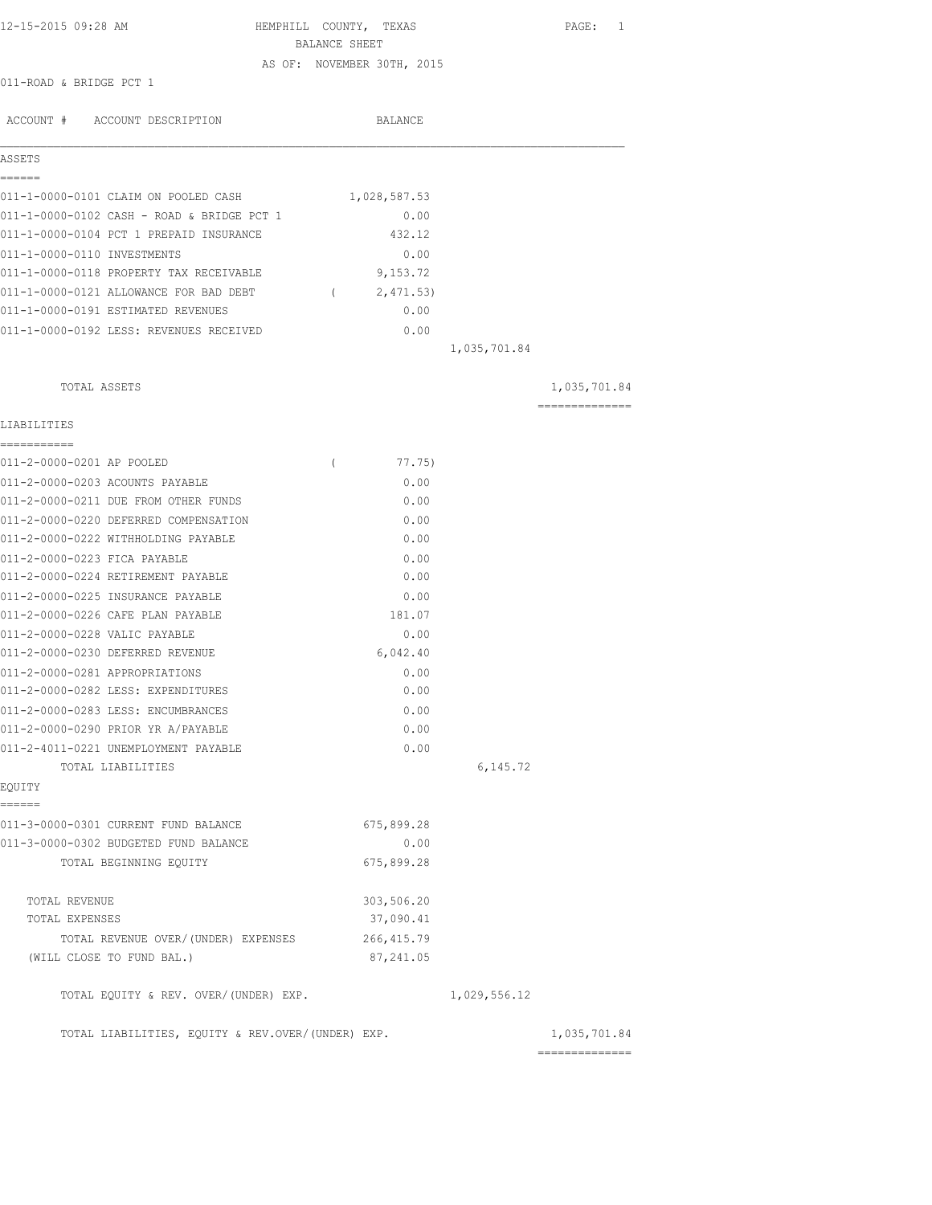| 12-15-2015 09:28 AM                               | HEMPHILL COUNTY, TEXAS |                            |              | PAGE: 1         |
|---------------------------------------------------|------------------------|----------------------------|--------------|-----------------|
|                                                   | BALANCE SHEET          |                            |              |                 |
| 011-ROAD & BRIDGE PCT 1                           |                        | AS OF: NOVEMBER 30TH, 2015 |              |                 |
|                                                   |                        |                            |              |                 |
| ACCOUNT # ACCOUNT DESCRIPTION                     |                        | BALANCE                    |              |                 |
| ASSETS                                            |                        |                            |              |                 |
| ------                                            |                        |                            |              |                 |
| 011-1-0000-0101 CLAIM ON POOLED CASH              |                        | 1,028,587.53               |              |                 |
| 011-1-0000-0102 CASH - ROAD & BRIDGE PCT 1        |                        | 0.00                       |              |                 |
| 011-1-0000-0104 PCT 1 PREPAID INSURANCE           |                        | 432.12                     |              |                 |
| 011-1-0000-0110 INVESTMENTS                       |                        | 0.00                       |              |                 |
| 011-1-0000-0118 PROPERTY TAX RECEIVABLE           |                        | 9,153.72                   |              |                 |
| 011-1-0000-0121 ALLOWANCE FOR BAD DEBT (2,471.53) |                        |                            |              |                 |
| 011-1-0000-0191 ESTIMATED REVENUES                |                        | 0.00                       |              |                 |
| 011-1-0000-0192 LESS: REVENUES RECEIVED           |                        | 0.00                       |              |                 |
|                                                   |                        |                            | 1,035,701.84 |                 |
| TOTAL ASSETS                                      |                        |                            |              | 1,035,701.84    |
| LIABILITIES                                       |                        |                            |              | --------------- |
| ------------                                      |                        |                            |              |                 |
| 011-2-0000-0201 AP POOLED                         | $\left($               | 77.75)                     |              |                 |
| 011-2-0000-0203 ACOUNTS PAYABLE                   |                        | 0.00                       |              |                 |
| 011-2-0000-0211 DUE FROM OTHER FUNDS              |                        | 0.00                       |              |                 |
| 011-2-0000-0220 DEFERRED COMPENSATION             |                        | 0.00                       |              |                 |
| 011-2-0000-0222 WITHHOLDING PAYABLE               |                        | 0.00                       |              |                 |
| 011-2-0000-0223 FICA PAYABLE                      |                        | 0.00                       |              |                 |
| 011-2-0000-0224 RETIREMENT PAYABLE                |                        | 0.00                       |              |                 |
| 011-2-0000-0225 INSURANCE PAYABLE                 |                        | 0.00                       |              |                 |
| 011-2-0000-0226 CAFE PLAN PAYABLE                 |                        | 181.07                     |              |                 |
| 011-2-0000-0228 VALIC PAYABLE                     |                        | 0.00                       |              |                 |
| 011-2-0000-0230 DEFERRED REVENUE                  |                        | 6,042.40                   |              |                 |
| 011-2-0000-0281 APPROPRIATIONS                    |                        | 0.00                       |              |                 |
| 011-2-0000-0282 LESS: EXPENDITURES                |                        | 0.00                       |              |                 |
| 011-2-0000-0283 LESS: ENCUMBRANCES                |                        | 0.00                       |              |                 |
| 011-2-0000-0290 PRIOR YR A/PAYABLE                |                        | 0.00                       |              |                 |
| 011-2-4011-0221 UNEMPLOYMENT PAYABLE              |                        | 0.00                       |              |                 |
| TOTAL LIABILITIES<br>EQUITY                       |                        |                            | 6,145.72     |                 |
| ------                                            |                        |                            |              |                 |
| 011-3-0000-0301 CURRENT FUND BALANCE              |                        | 675,899.28                 |              |                 |
| 011-3-0000-0302 BUDGETED FUND BALANCE             |                        | 0.00                       |              |                 |
| TOTAL BEGINNING EQUITY                            |                        | 675,899.28                 |              |                 |
| TOTAL REVENUE                                     |                        | 303,506.20                 |              |                 |
| TOTAL EXPENSES                                    |                        | 37,090.41                  |              |                 |
| TOTAL REVENUE OVER/ (UNDER) EXPENSES              |                        | 266, 415.79                |              |                 |
| (WILL CLOSE TO FUND BAL.)                         |                        | 87,241.05                  |              |                 |
| TOTAL EQUITY & REV. OVER/(UNDER) EXP.             |                        |                            | 1,029,556.12 |                 |
| TOTAL LIABILITIES, EQUITY & REV.OVER/(UNDER) EXP. |                        |                            |              | 1,035,701.84    |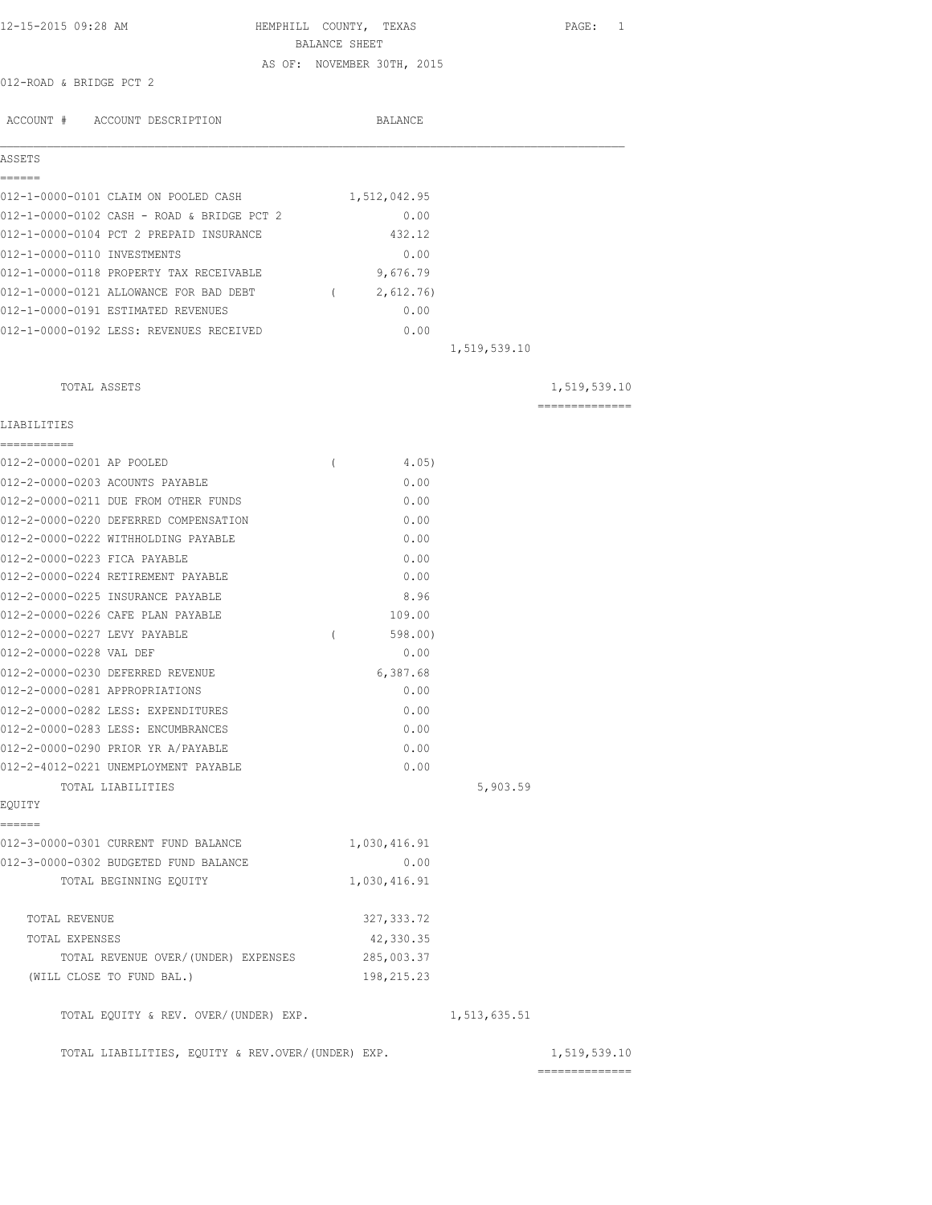| 12-15-2015 09:28 AM                               | HEMPHILL COUNTY, TEXAS<br>BALANCE SHEET |                |              | PAGE: 1        |
|---------------------------------------------------|-----------------------------------------|----------------|--------------|----------------|
|                                                   | AS OF: NOVEMBER 30TH, 2015              |                |              |                |
| 012-ROAD & BRIDGE PCT 2                           |                                         |                |              |                |
| ACCOUNT # ACCOUNT DESCRIPTION                     |                                         | <b>BALANCE</b> |              |                |
| ASSETS                                            |                                         |                |              |                |
| ======                                            |                                         |                |              |                |
| 012-1-0000-0101 CLAIM ON POOLED CASH              |                                         | 1,512,042.95   |              |                |
| 012-1-0000-0102 CASH - ROAD & BRIDGE PCT 2        |                                         | 0.00           |              |                |
| 012-1-0000-0104 PCT 2 PREPAID INSURANCE           |                                         | 432.12         |              |                |
| 012-1-0000-0110 INVESTMENTS                       |                                         | 0.00           |              |                |
| 012-1-0000-0118 PROPERTY TAX RECEIVABLE           |                                         | 9,676.79       |              |                |
| 012-1-0000-0121 ALLOWANCE FOR BAD DEBT            | $\sqrt{2}$                              | 2,612.76)      |              |                |
| 012-1-0000-0191 ESTIMATED REVENUES                |                                         | 0.00           |              |                |
| 012-1-0000-0192 LESS: REVENUES RECEIVED           |                                         | 0.00           |              |                |
|                                                   |                                         |                | 1,519,539.10 |                |
| TOTAL ASSETS                                      |                                         |                |              | 1,519,539.10   |
| LIABILITIES                                       |                                         |                |              | -------------- |
| ===========                                       |                                         |                |              |                |
| 012-2-0000-0201 AP POOLED                         | $\left($                                | 4.05)          |              |                |
| 012-2-0000-0203 ACOUNTS PAYABLE                   |                                         | 0.00           |              |                |
| 012-2-0000-0211 DUE FROM OTHER FUNDS              |                                         | 0.00           |              |                |
| 012-2-0000-0220 DEFERRED COMPENSATION             |                                         | 0.00           |              |                |
| 012-2-0000-0222 WITHHOLDING PAYABLE               |                                         | 0.00           |              |                |
| 012-2-0000-0223 FICA PAYABLE                      |                                         | 0.00           |              |                |
| 012-2-0000-0224 RETIREMENT PAYABLE                |                                         | 0.00           |              |                |
| 012-2-0000-0225 INSURANCE PAYABLE                 |                                         | 8.96           |              |                |
| 012-2-0000-0226 CAFE PLAN PAYABLE                 |                                         | 109.00         |              |                |
| 012-2-0000-0227 LEVY PAYABLE                      | $\left($                                | 598.00         |              |                |
| 012-2-0000-0228 VAL DEF                           |                                         | 0.00           |              |                |
| 012-2-0000-0230 DEFERRED REVENUE                  |                                         | 6,387.68       |              |                |
| 012-2-0000-0281 APPROPRIATIONS                    |                                         | 0.00           |              |                |
| 012-2-0000-0282 LESS: EXPENDITURES                |                                         | 0.00           |              |                |
| 012-2-0000-0283 LESS: ENCUMBRANCES                |                                         | 0.00           |              |                |
| 012-2-0000-0290 PRIOR YR A/PAYABLE                |                                         | 0.00           |              |                |
| 012-2-4012-0221 UNEMPLOYMENT PAYABLE              |                                         | 0.00           |              |                |
| TOTAL LIABILITIES<br>EQUITY                       |                                         |                | 5,903.59     |                |
| ------                                            |                                         |                |              |                |
| 012-3-0000-0301 CURRENT FUND BALANCE              |                                         | 1,030,416.91   |              |                |
| 012-3-0000-0302 BUDGETED FUND BALANCE             |                                         | 0.00           |              |                |
| TOTAL BEGINNING EQUITY                            |                                         | 1,030,416.91   |              |                |
| TOTAL REVENUE                                     |                                         | 327, 333.72    |              |                |
| TOTAL EXPENSES                                    |                                         | 42,330.35      |              |                |
| TOTAL REVENUE OVER/(UNDER) EXPENSES               |                                         | 285,003.37     |              |                |
| (WILL CLOSE TO FUND BAL.)                         |                                         | 198,215.23     |              |                |
| TOTAL EQUITY & REV. OVER/(UNDER) EXP.             |                                         |                | 1,513,635.51 |                |
| TOTAL LIABILITIES, EQUITY & REV.OVER/(UNDER) EXP. |                                         |                |              | 1,519,539.10   |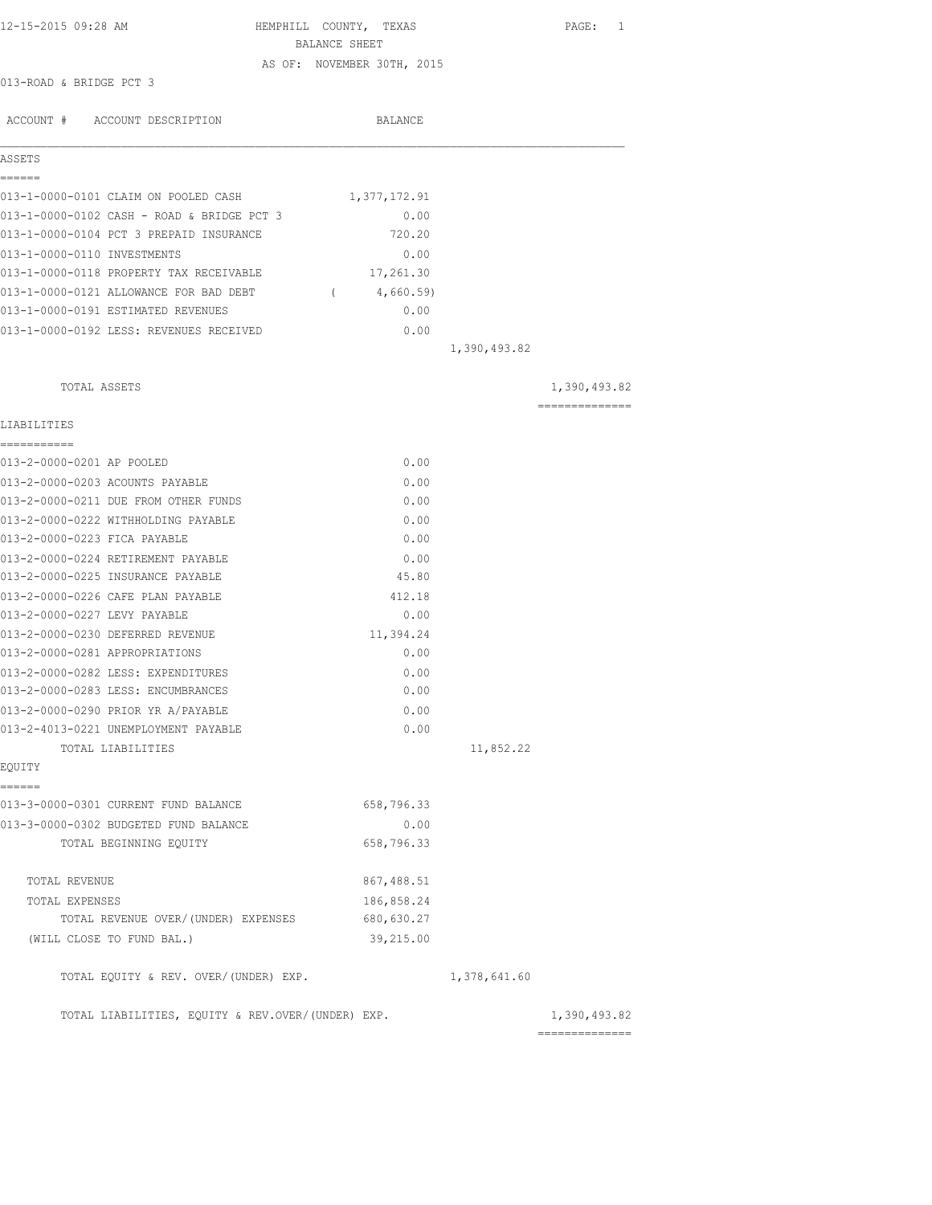| 12-15-2015 09:28 AM                                   | HEMPHILL COUNTY, TEXAS     |              | PAGE: 1        |
|-------------------------------------------------------|----------------------------|--------------|----------------|
|                                                       | BALANCE SHEET              |              |                |
|                                                       | AS OF: NOVEMBER 30TH, 2015 |              |                |
| 013-ROAD & BRIDGE PCT 3                               |                            |              |                |
| ACCOUNT # ACCOUNT DESCRIPTION                         | BALANCE                    |              |                |
|                                                       |                            |              |                |
| ASSETS<br>======                                      |                            |              |                |
| 013-1-0000-0101 CLAIM ON POOLED CASH                  | 1,377,172.91               |              |                |
| 013-1-0000-0102 CASH - ROAD & BRIDGE PCT 3            | 0.00                       |              |                |
| 013-1-0000-0104 PCT 3 PREPAID INSURANCE               | 720.20                     |              |                |
| 013-1-0000-0110 INVESTMENTS                           | 0.00                       |              |                |
| 013-1-0000-0118 PROPERTY TAX RECEIVABLE               | 17,261.30                  |              |                |
| 013-1-0000-0121 ALLOWANCE FOR BAD DEBT                | 4,660.59)<br>$\sim$ $\sim$ |              |                |
| 013-1-0000-0191 ESTIMATED REVENUES                    | 0.00                       |              |                |
| 013-1-0000-0192 LESS: REVENUES RECEIVED               | 0.00                       |              |                |
|                                                       |                            | 1,390,493.82 |                |
| TOTAL ASSETS                                          |                            |              | 1,390,493.82   |
| LIABILITIES                                           |                            |              | -------------- |
| ------------                                          |                            |              |                |
| 013-2-0000-0201 AP POOLED                             | 0.00                       |              |                |
| 013-2-0000-0203 ACOUNTS PAYABLE                       | 0.00                       |              |                |
| 013-2-0000-0211 DUE FROM OTHER FUNDS                  | 0.00                       |              |                |
| 013-2-0000-0222 WITHHOLDING PAYABLE                   | 0.00                       |              |                |
| 013-2-0000-0223 FICA PAYABLE                          | 0.00                       |              |                |
| 013-2-0000-0224 RETIREMENT PAYABLE                    | 0.00                       |              |                |
| 013-2-0000-0225 INSURANCE PAYABLE                     | 45.80                      |              |                |
| 013-2-0000-0226 CAFE PLAN PAYABLE                     | 412.18                     |              |                |
| 013-2-0000-0227 LEVY PAYABLE                          | 0.00                       |              |                |
| 013-2-0000-0230 DEFERRED REVENUE                      | 11,394.24                  |              |                |
| 013-2-0000-0281 APPROPRIATIONS                        | 0.00                       |              |                |
| 013-2-0000-0282 LESS: EXPENDITURES                    | 0.00                       |              |                |
| 013-2-0000-0283 LESS: ENCUMBRANCES                    | 0.00                       |              |                |
| 013-2-0000-0290 PRIOR YR A/PAYABLE                    | 0.00                       |              |                |
| 013-2-4013-0221 UNEMPLOYMENT PAYABLE                  | 0.00                       |              |                |
| TOTAL LIABILITIES                                     |                            | 11,852.22    |                |
| EQUITY                                                |                            |              |                |
| ======<br>013-3-0000-0301 CURRENT FUND BALANCE        | 658,796.33                 |              |                |
| 013-3-0000-0302 BUDGETED FUND BALANCE                 | 0.00                       |              |                |
| TOTAL BEGINNING EQUITY                                | 658,796.33                 |              |                |
| TOTAL REVENUE                                         | 867, 488.51                |              |                |
|                                                       | 186,858.24                 |              |                |
| TOTAL EXPENSES<br>TOTAL REVENUE OVER/(UNDER) EXPENSES | 680,630.27                 |              |                |
| (WILL CLOSE TO FUND BAL.)                             | 39,215.00                  |              |                |
| TOTAL EQUITY & REV. OVER/(UNDER) EXP.                 |                            | 1,378,641.60 |                |
|                                                       |                            |              |                |
| TOTAL LIABILITIES, EQUITY & REV.OVER/(UNDER) EXP.     |                            |              | 1,390,493.82   |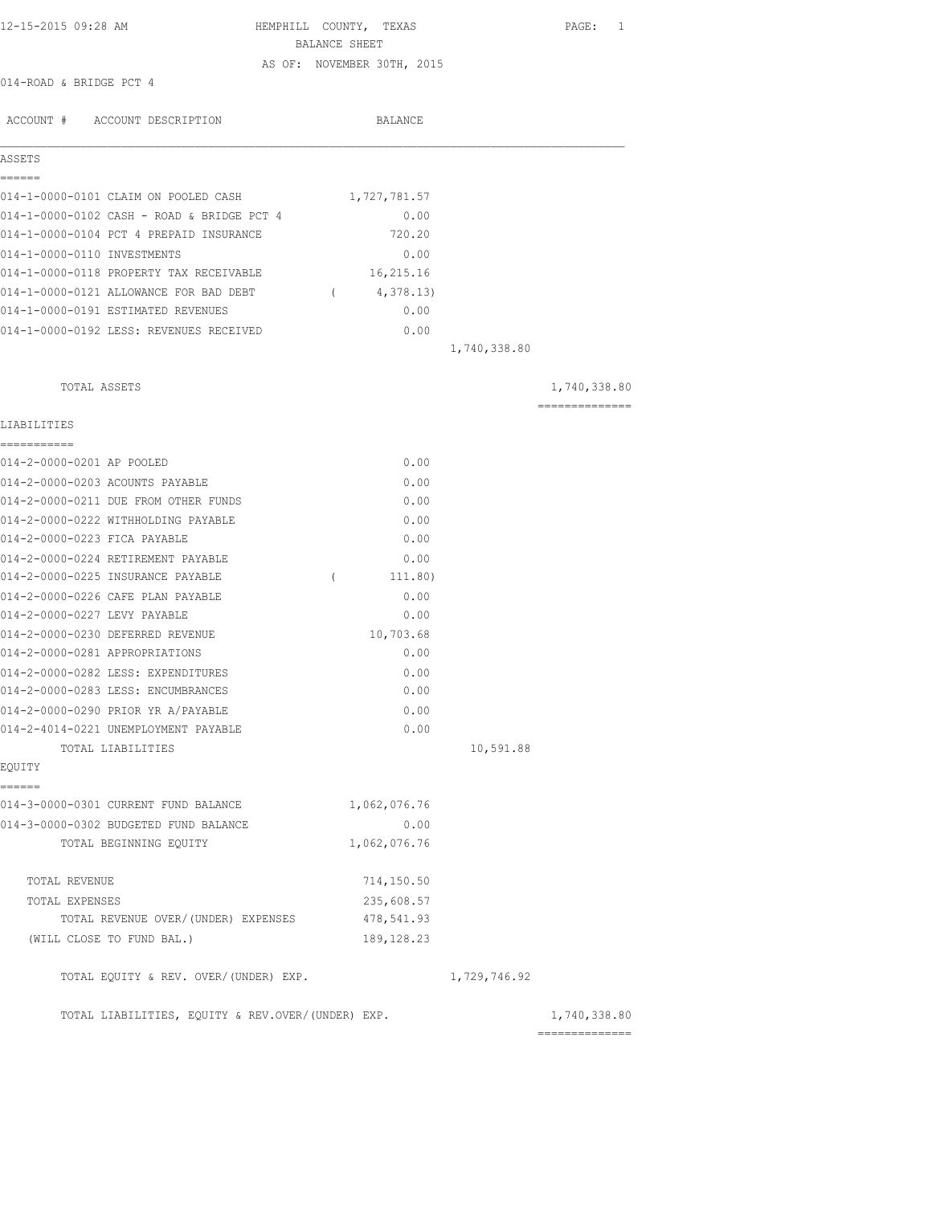| 12-15-2015 09:28 AM                               | HEMPHILL COUNTY, TEXAS<br>BALANCE SHEET |              | PAGE: 1                        |
|---------------------------------------------------|-----------------------------------------|--------------|--------------------------------|
| 014-ROAD & BRIDGE PCT 4                           | AS OF: NOVEMBER 30TH, 2015              |              |                                |
| ACCOUNT # ACCOUNT DESCRIPTION                     | BALANCE                                 |              |                                |
|                                                   |                                         |              |                                |
| ASSETS<br>======                                  |                                         |              |                                |
| 014-1-0000-0101 CLAIM ON POOLED CASH              | 1,727,781.57                            |              |                                |
| 014-1-0000-0102 CASH - ROAD & BRIDGE PCT 4        | 0.00                                    |              |                                |
| 014-1-0000-0104 PCT 4 PREPAID INSURANCE           | 720.20                                  |              |                                |
| 014-1-0000-0110 INVESTMENTS                       | 0.00                                    |              |                                |
| 014-1-0000-0118 PROPERTY TAX RECEIVABLE           | 16,215.16                               |              |                                |
| 014-1-0000-0121 ALLOWANCE FOR BAD DEBT            | $\sim$ $\sim$ $\sim$<br>4,378.13)       |              |                                |
| 014-1-0000-0191 ESTIMATED REVENUES                | 0.00                                    |              |                                |
| 014-1-0000-0192 LESS: REVENUES RECEIVED           | 0.00                                    |              |                                |
|                                                   |                                         | 1,740,338.80 |                                |
| TOTAL ASSETS                                      |                                         |              | 1,740,338.80                   |
|                                                   |                                         |              | ==============                 |
| LIABILITIES<br>===========                        |                                         |              |                                |
| 014-2-0000-0201 AP POOLED                         | 0.00                                    |              |                                |
| 014-2-0000-0203 ACOUNTS PAYABLE                   | 0.00                                    |              |                                |
| 014-2-0000-0211 DUE FROM OTHER FUNDS              | 0.00                                    |              |                                |
| 014-2-0000-0222 WITHHOLDING PAYABLE               | 0.00                                    |              |                                |
| 014-2-0000-0223 FICA PAYABLE                      | 0.00                                    |              |                                |
| 014-2-0000-0224 RETIREMENT PAYABLE                | 0.00                                    |              |                                |
| 014-2-0000-0225 INSURANCE PAYABLE                 | $\sqrt{2}$<br>111.80)                   |              |                                |
| 014-2-0000-0226 CAFE PLAN PAYABLE                 | 0.00                                    |              |                                |
| 014-2-0000-0227 LEVY PAYABLE                      | 0.00                                    |              |                                |
| 014-2-0000-0230 DEFERRED REVENUE                  | 10,703.68                               |              |                                |
| 014-2-0000-0281 APPROPRIATIONS                    | 0.00                                    |              |                                |
| 014-2-0000-0282 LESS: EXPENDITURES                | 0.00                                    |              |                                |
| 014-2-0000-0283 LESS: ENCUMBRANCES                | 0.00                                    |              |                                |
| 014-2-0000-0290 PRIOR YR A/PAYABLE                | 0.00                                    |              |                                |
| 014-2-4014-0221 UNEMPLOYMENT PAYABLE              | 0.00                                    |              |                                |
| TOTAL LIABILITIES                                 |                                         | 10,591.88    |                                |
| EQUITY<br>======                                  |                                         |              |                                |
| 014-3-0000-0301 CURRENT FUND BALANCE              | 1,062,076.76                            |              |                                |
| 014-3-0000-0302 BUDGETED FUND BALANCE             | 0.00                                    |              |                                |
| TOTAL BEGINNING EQUITY                            | 1,062,076.76                            |              |                                |
| TOTAL REVENUE                                     | 714,150.50                              |              |                                |
| TOTAL EXPENSES                                    | 235,608.57                              |              |                                |
| TOTAL REVENUE OVER/(UNDER) EXPENSES               | 478,541.93                              |              |                                |
| (WILL CLOSE TO FUND BAL.)                         | 189, 128.23                             |              |                                |
| TOTAL EQUITY & REV. OVER/(UNDER) EXP.             |                                         | 1,729,746.92 |                                |
| TOTAL LIABILITIES, EQUITY & REV.OVER/(UNDER) EXP. |                                         |              | 1,740,338.80<br>============== |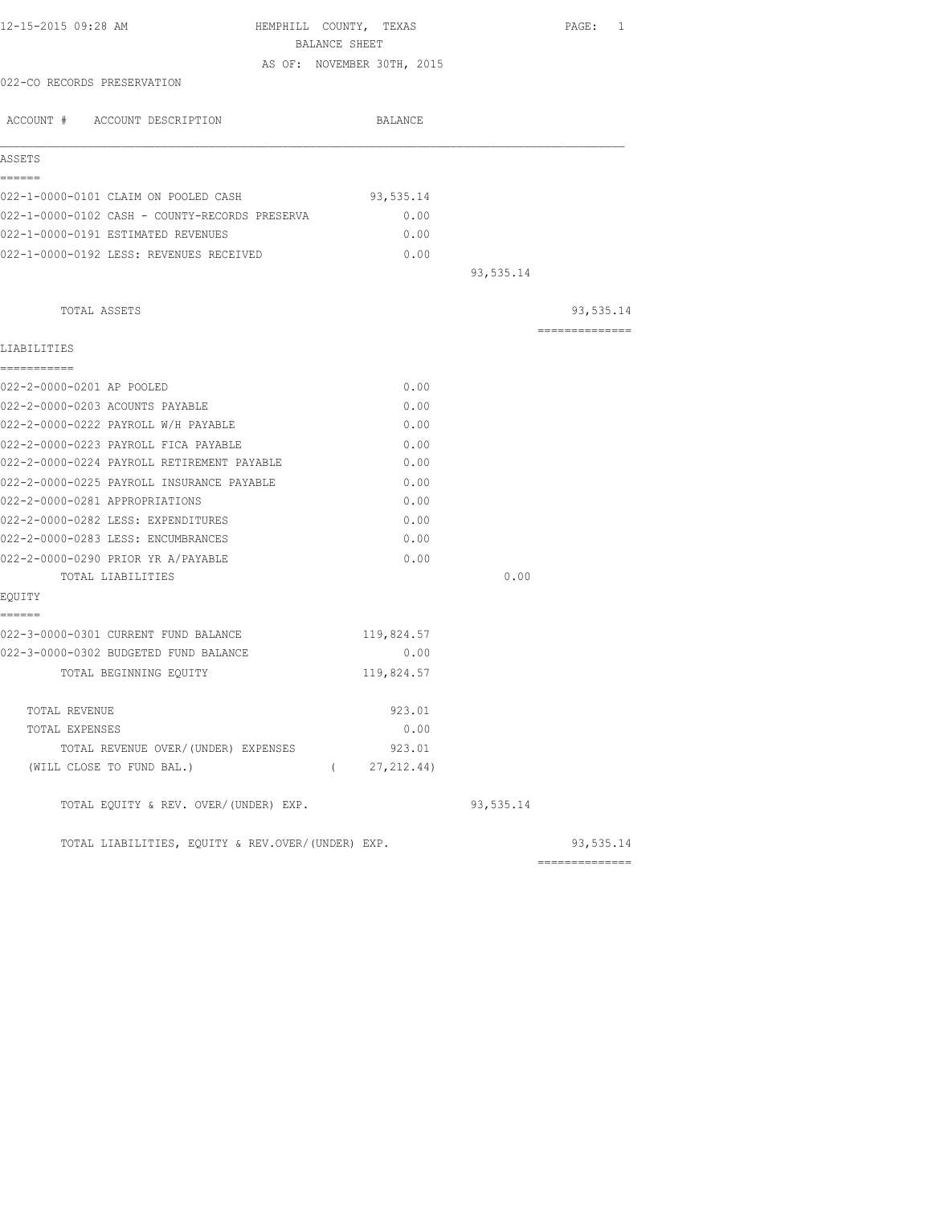|                                                   | BALANCE SHEET<br>AS OF: NOVEMBER 30TH, 2015 |           |                |
|---------------------------------------------------|---------------------------------------------|-----------|----------------|
| 022-CO RECORDS PRESERVATION                       |                                             |           |                |
|                                                   |                                             |           |                |
| ACCOUNT # ACCOUNT DESCRIPTION                     | BALANCE                                     |           |                |
| ASSETS                                            |                                             |           |                |
| ------                                            |                                             |           |                |
| 022-1-0000-0101 CLAIM ON POOLED CASH              | 93,535.14                                   |           |                |
| 022-1-0000-0102 CASH - COUNTY-RECORDS PRESERVA    | 0.00                                        |           |                |
| 022-1-0000-0191 ESTIMATED REVENUES                | 0.00                                        |           |                |
| 022-1-0000-0192 LESS: REVENUES RECEIVED           | 0.00                                        | 93,535.14 |                |
|                                                   |                                             |           |                |
| TOTAL ASSETS                                      |                                             |           | 93,535.14      |
|                                                   |                                             |           | -------------- |
| LIABILITIES<br>------------                       |                                             |           |                |
| 022-2-0000-0201 AP POOLED                         | 0.00                                        |           |                |
| 022-2-0000-0203 ACOUNTS PAYABLE                   | 0.00                                        |           |                |
| 022-2-0000-0222 PAYROLL W/H PAYABLE               | 0.00                                        |           |                |
| 022-2-0000-0223 PAYROLL FICA PAYABLE              | 0.00                                        |           |                |
| 022-2-0000-0224 PAYROLL RETIREMENT PAYABLE        | 0.00                                        |           |                |
| 022-2-0000-0225 PAYROLL INSURANCE PAYABLE         | 0.00                                        |           |                |
| 022-2-0000-0281 APPROPRIATIONS                    | 0.00                                        |           |                |
| 022-2-0000-0282 LESS: EXPENDITURES                | 0.00                                        |           |                |
| 022-2-0000-0283 LESS: ENCUMBRANCES                | 0.00                                        |           |                |
| 022-2-0000-0290 PRIOR YR A/PAYABLE                | 0.00                                        |           |                |
| TOTAL LIABILITIES                                 |                                             | 0.00      |                |
| EQUITY<br>======                                  |                                             |           |                |
| 022-3-0000-0301 CURRENT FUND BALANCE              | 119,824.57                                  |           |                |
| 022-3-0000-0302 BUDGETED FUND BALANCE             | 0.00                                        |           |                |
| TOTAL BEGINNING EQUITY                            | 119,824.57                                  |           |                |
| TOTAL REVENUE                                     | 923.01                                      |           |                |
| TOTAL EXPENSES                                    | 0.00                                        |           |                |
| TOTAL REVENUE OVER/ (UNDER) EXPENSES              | 923.01                                      |           |                |
| (WILL CLOSE TO FUND BAL.)                         | (27, 212, 44)                               |           |                |
| TOTAL EQUITY & REV. OVER/(UNDER) EXP.             |                                             | 93,535.14 |                |
| TOTAL LIABILITIES, EQUITY & REV.OVER/(UNDER) EXP. |                                             |           | 93,535.14      |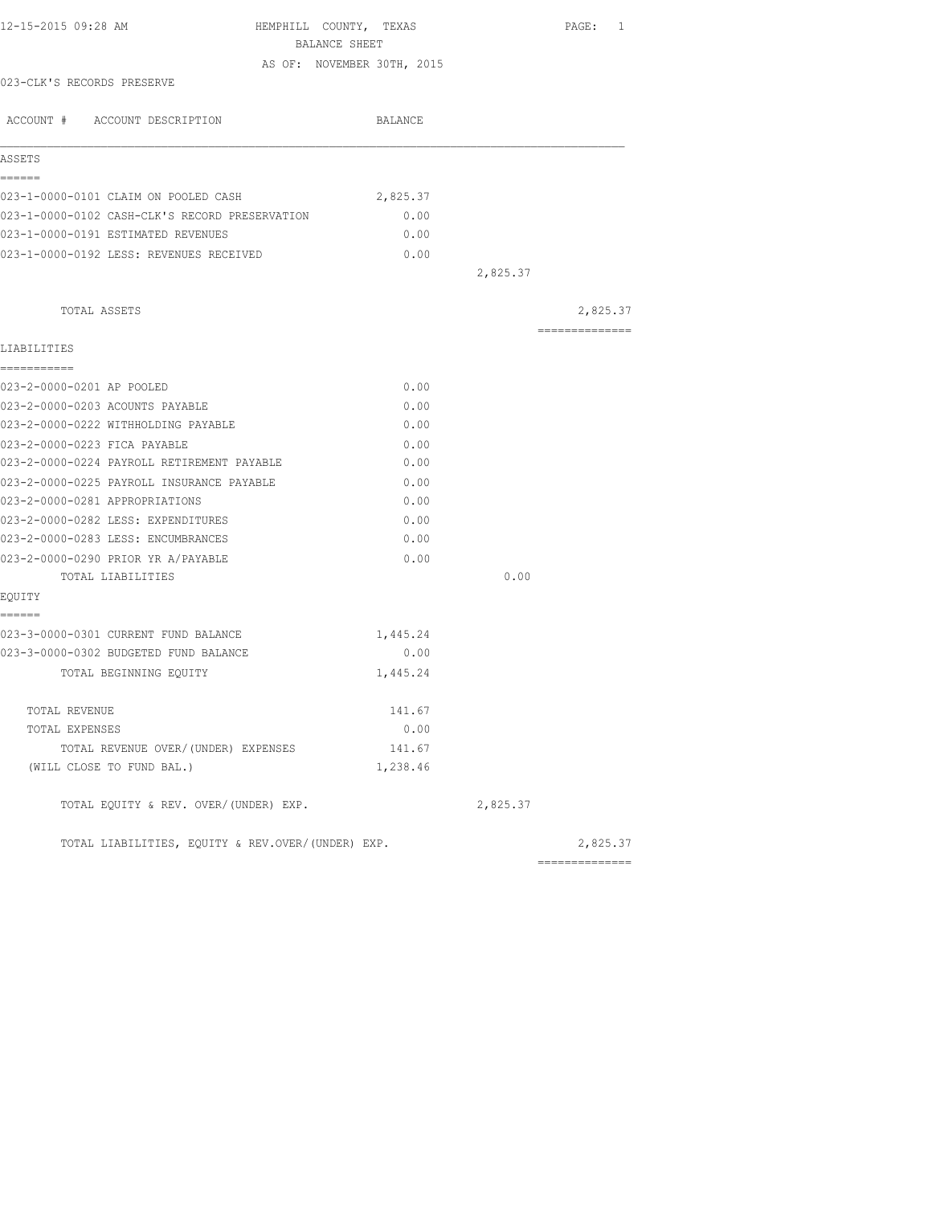| BALANCE SHEET<br>AS OF: NOVEMBER 30TH, 2015<br>023-CLK'S RECORDS PRESERVE<br>ACCOUNT # ACCOUNT DESCRIPTION<br>BALANCE<br>ASSETS<br>------<br>023-1-0000-0101 CLAIM ON POOLED CASH<br>2,825.37<br>023-1-0000-0102 CASH-CLK'S RECORD PRESERVATION<br>0.00<br>023-1-0000-0191 ESTIMATED REVENUES<br>0.00<br>023-1-0000-0192 LESS: REVENUES RECEIVED<br>0.00<br>2,825.37<br>TOTAL ASSETS<br>---------------<br>LIABILITIES<br>===========<br>023-2-0000-0201 AP POOLED<br>0.00<br>023-2-0000-0203 ACOUNTS PAYABLE<br>0.00<br>023-2-0000-0222 WITHHOLDING PAYABLE<br>0.00<br>023-2-0000-0223 FICA PAYABLE<br>0.00<br>023-2-0000-0224 PAYROLL RETIREMENT PAYABLE<br>0.00<br>023-2-0000-0225 PAYROLL INSURANCE PAYABLE<br>0.00<br>023-2-0000-0281 APPROPRIATIONS<br>0.00<br>023-2-0000-0282 LESS: EXPENDITURES<br>0.00<br>023-2-0000-0283 LESS: ENCUMBRANCES<br>0.00<br>023-2-0000-0290 PRIOR YR A/PAYABLE<br>0.00<br>0.00<br>TOTAL LIABILITIES<br>EQUITY<br>------<br>023-3-0000-0301 CURRENT FUND BALANCE<br>1,445.24<br>023-3-0000-0302 BUDGETED FUND BALANCE<br>0.00<br>TOTAL BEGINNING EQUITY<br>1,445.24<br>141.67<br>TOTAL REVENUE<br>0.00<br>TOTAL EXPENSES<br>TOTAL REVENUE OVER/(UNDER) EXPENSES<br>141.67<br>(WILL CLOSE TO FUND BAL.)<br>1,238.46 | PAGE: 1  |
|--------------------------------------------------------------------------------------------------------------------------------------------------------------------------------------------------------------------------------------------------------------------------------------------------------------------------------------------------------------------------------------------------------------------------------------------------------------------------------------------------------------------------------------------------------------------------------------------------------------------------------------------------------------------------------------------------------------------------------------------------------------------------------------------------------------------------------------------------------------------------------------------------------------------------------------------------------------------------------------------------------------------------------------------------------------------------------------------------------------------------------------------------------------------------------------------------------------------------------------------------------|----------|
|                                                                                                                                                                                                                                                                                                                                                                                                                                                                                                                                                                                                                                                                                                                                                                                                                                                                                                                                                                                                                                                                                                                                                                                                                                                        |          |
|                                                                                                                                                                                                                                                                                                                                                                                                                                                                                                                                                                                                                                                                                                                                                                                                                                                                                                                                                                                                                                                                                                                                                                                                                                                        |          |
|                                                                                                                                                                                                                                                                                                                                                                                                                                                                                                                                                                                                                                                                                                                                                                                                                                                                                                                                                                                                                                                                                                                                                                                                                                                        |          |
|                                                                                                                                                                                                                                                                                                                                                                                                                                                                                                                                                                                                                                                                                                                                                                                                                                                                                                                                                                                                                                                                                                                                                                                                                                                        |          |
|                                                                                                                                                                                                                                                                                                                                                                                                                                                                                                                                                                                                                                                                                                                                                                                                                                                                                                                                                                                                                                                                                                                                                                                                                                                        |          |
|                                                                                                                                                                                                                                                                                                                                                                                                                                                                                                                                                                                                                                                                                                                                                                                                                                                                                                                                                                                                                                                                                                                                                                                                                                                        |          |
|                                                                                                                                                                                                                                                                                                                                                                                                                                                                                                                                                                                                                                                                                                                                                                                                                                                                                                                                                                                                                                                                                                                                                                                                                                                        |          |
|                                                                                                                                                                                                                                                                                                                                                                                                                                                                                                                                                                                                                                                                                                                                                                                                                                                                                                                                                                                                                                                                                                                                                                                                                                                        |          |
|                                                                                                                                                                                                                                                                                                                                                                                                                                                                                                                                                                                                                                                                                                                                                                                                                                                                                                                                                                                                                                                                                                                                                                                                                                                        |          |
|                                                                                                                                                                                                                                                                                                                                                                                                                                                                                                                                                                                                                                                                                                                                                                                                                                                                                                                                                                                                                                                                                                                                                                                                                                                        |          |
|                                                                                                                                                                                                                                                                                                                                                                                                                                                                                                                                                                                                                                                                                                                                                                                                                                                                                                                                                                                                                                                                                                                                                                                                                                                        |          |
|                                                                                                                                                                                                                                                                                                                                                                                                                                                                                                                                                                                                                                                                                                                                                                                                                                                                                                                                                                                                                                                                                                                                                                                                                                                        |          |
|                                                                                                                                                                                                                                                                                                                                                                                                                                                                                                                                                                                                                                                                                                                                                                                                                                                                                                                                                                                                                                                                                                                                                                                                                                                        |          |
|                                                                                                                                                                                                                                                                                                                                                                                                                                                                                                                                                                                                                                                                                                                                                                                                                                                                                                                                                                                                                                                                                                                                                                                                                                                        | 2,825.37 |
|                                                                                                                                                                                                                                                                                                                                                                                                                                                                                                                                                                                                                                                                                                                                                                                                                                                                                                                                                                                                                                                                                                                                                                                                                                                        |          |
|                                                                                                                                                                                                                                                                                                                                                                                                                                                                                                                                                                                                                                                                                                                                                                                                                                                                                                                                                                                                                                                                                                                                                                                                                                                        |          |
|                                                                                                                                                                                                                                                                                                                                                                                                                                                                                                                                                                                                                                                                                                                                                                                                                                                                                                                                                                                                                                                                                                                                                                                                                                                        |          |
|                                                                                                                                                                                                                                                                                                                                                                                                                                                                                                                                                                                                                                                                                                                                                                                                                                                                                                                                                                                                                                                                                                                                                                                                                                                        |          |
|                                                                                                                                                                                                                                                                                                                                                                                                                                                                                                                                                                                                                                                                                                                                                                                                                                                                                                                                                                                                                                                                                                                                                                                                                                                        |          |
|                                                                                                                                                                                                                                                                                                                                                                                                                                                                                                                                                                                                                                                                                                                                                                                                                                                                                                                                                                                                                                                                                                                                                                                                                                                        |          |
|                                                                                                                                                                                                                                                                                                                                                                                                                                                                                                                                                                                                                                                                                                                                                                                                                                                                                                                                                                                                                                                                                                                                                                                                                                                        |          |
|                                                                                                                                                                                                                                                                                                                                                                                                                                                                                                                                                                                                                                                                                                                                                                                                                                                                                                                                                                                                                                                                                                                                                                                                                                                        |          |
|                                                                                                                                                                                                                                                                                                                                                                                                                                                                                                                                                                                                                                                                                                                                                                                                                                                                                                                                                                                                                                                                                                                                                                                                                                                        |          |
|                                                                                                                                                                                                                                                                                                                                                                                                                                                                                                                                                                                                                                                                                                                                                                                                                                                                                                                                                                                                                                                                                                                                                                                                                                                        |          |
|                                                                                                                                                                                                                                                                                                                                                                                                                                                                                                                                                                                                                                                                                                                                                                                                                                                                                                                                                                                                                                                                                                                                                                                                                                                        |          |
|                                                                                                                                                                                                                                                                                                                                                                                                                                                                                                                                                                                                                                                                                                                                                                                                                                                                                                                                                                                                                                                                                                                                                                                                                                                        |          |
|                                                                                                                                                                                                                                                                                                                                                                                                                                                                                                                                                                                                                                                                                                                                                                                                                                                                                                                                                                                                                                                                                                                                                                                                                                                        |          |
|                                                                                                                                                                                                                                                                                                                                                                                                                                                                                                                                                                                                                                                                                                                                                                                                                                                                                                                                                                                                                                                                                                                                                                                                                                                        |          |
|                                                                                                                                                                                                                                                                                                                                                                                                                                                                                                                                                                                                                                                                                                                                                                                                                                                                                                                                                                                                                                                                                                                                                                                                                                                        |          |
|                                                                                                                                                                                                                                                                                                                                                                                                                                                                                                                                                                                                                                                                                                                                                                                                                                                                                                                                                                                                                                                                                                                                                                                                                                                        |          |
|                                                                                                                                                                                                                                                                                                                                                                                                                                                                                                                                                                                                                                                                                                                                                                                                                                                                                                                                                                                                                                                                                                                                                                                                                                                        |          |
|                                                                                                                                                                                                                                                                                                                                                                                                                                                                                                                                                                                                                                                                                                                                                                                                                                                                                                                                                                                                                                                                                                                                                                                                                                                        |          |
|                                                                                                                                                                                                                                                                                                                                                                                                                                                                                                                                                                                                                                                                                                                                                                                                                                                                                                                                                                                                                                                                                                                                                                                                                                                        |          |
|                                                                                                                                                                                                                                                                                                                                                                                                                                                                                                                                                                                                                                                                                                                                                                                                                                                                                                                                                                                                                                                                                                                                                                                                                                                        |          |
|                                                                                                                                                                                                                                                                                                                                                                                                                                                                                                                                                                                                                                                                                                                                                                                                                                                                                                                                                                                                                                                                                                                                                                                                                                                        |          |
|                                                                                                                                                                                                                                                                                                                                                                                                                                                                                                                                                                                                                                                                                                                                                                                                                                                                                                                                                                                                                                                                                                                                                                                                                                                        |          |
| TOTAL EQUITY & REV. OVER/(UNDER) EXP.<br>2,825.37                                                                                                                                                                                                                                                                                                                                                                                                                                                                                                                                                                                                                                                                                                                                                                                                                                                                                                                                                                                                                                                                                                                                                                                                      |          |
| TOTAL LIABILITIES, EQUITY & REV.OVER/(UNDER) EXP.                                                                                                                                                                                                                                                                                                                                                                                                                                                                                                                                                                                                                                                                                                                                                                                                                                                                                                                                                                                                                                                                                                                                                                                                      | 2,825.37 |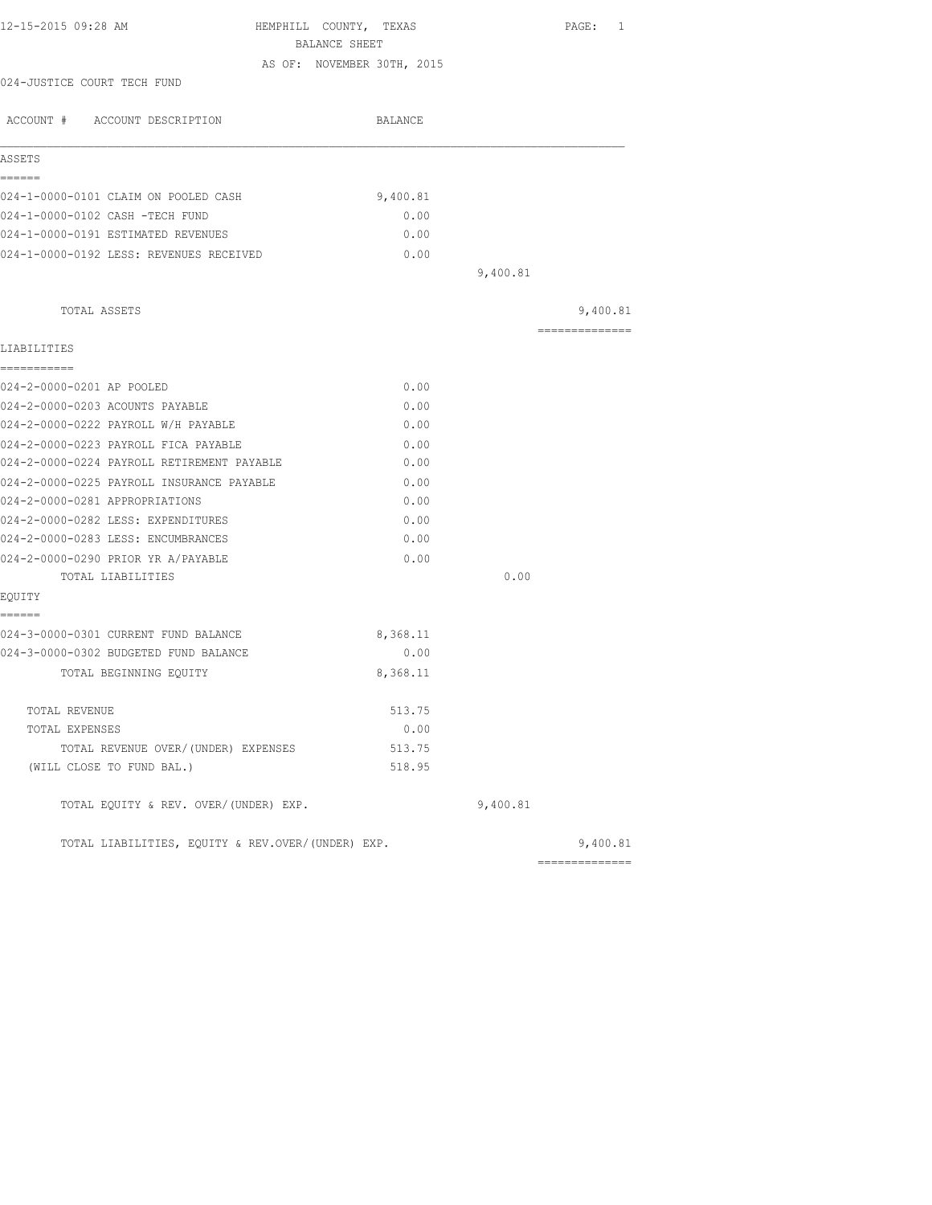| 12-15-2015 09:28 AM                               | HEMPHILL COUNTY, TEXAS     |          | PAGE: 1                    |
|---------------------------------------------------|----------------------------|----------|----------------------------|
|                                                   | BALANCE SHEET              |          |                            |
|                                                   | AS OF: NOVEMBER 30TH, 2015 |          |                            |
| 024-JUSTICE COURT TECH FUND                       |                            |          |                            |
| ACCOUNT # ACCOUNT DESCRIPTION                     | BALANCE                    |          |                            |
| ASSETS                                            |                            |          |                            |
| ======<br>024-1-0000-0101 CLAIM ON POOLED CASH    | 9,400.81                   |          |                            |
| 024-1-0000-0102 CASH -TECH FUND                   | 0.00                       |          |                            |
| 024-1-0000-0191 ESTIMATED REVENUES                | 0.00                       |          |                            |
| 024-1-0000-0192 LESS: REVENUES RECEIVED           | 0.00                       |          |                            |
|                                                   |                            | 9,400.81 |                            |
|                                                   |                            |          |                            |
| TOTAL ASSETS                                      |                            |          | 9,400.81<br>============== |
| LIABILITIES                                       |                            |          |                            |
| ===========<br>024-2-0000-0201 AP POOLED          | 0.00                       |          |                            |
| 024-2-0000-0203 ACOUNTS PAYABLE                   | 0.00                       |          |                            |
| 024-2-0000-0222 PAYROLL W/H PAYABLE               | 0.00                       |          |                            |
| 024-2-0000-0223 PAYROLL FICA PAYABLE              | 0.00                       |          |                            |
| 024-2-0000-0224 PAYROLL RETIREMENT PAYABLE        | 0.00                       |          |                            |
| 024-2-0000-0225 PAYROLL INSURANCE PAYABLE         | 0.00                       |          |                            |
| 024-2-0000-0281 APPROPRIATIONS                    | 0.00                       |          |                            |
| 024-2-0000-0282 LESS: EXPENDITURES                | 0.00                       |          |                            |
| 024-2-0000-0283 LESS: ENCUMBRANCES                | 0.00                       |          |                            |
| 024-2-0000-0290 PRIOR YR A/PAYABLE                | 0.00                       |          |                            |
| TOTAL LIABILITIES                                 |                            | 0.00     |                            |
| EQUITY                                            |                            |          |                            |
| ======<br>024-3-0000-0301 CURRENT FUND BALANCE    | 8,368.11                   |          |                            |
| 024-3-0000-0302 BUDGETED FUND BALANCE             | 0.00                       |          |                            |
| TOTAL BEGINNING EQUITY                            | 8,368.11                   |          |                            |
| TOTAL REVENUE                                     | 513.75                     |          |                            |
| TOTAL EXPENSES                                    | 0.00                       |          |                            |
| TOTAL REVENUE OVER/(UNDER) EXPENSES               | 513.75                     |          |                            |
| (WILL CLOSE TO FUND BAL.)                         | 518.95                     |          |                            |
| TOTAL EQUITY & REV. OVER/(UNDER) EXP.             |                            | 9,400.81 |                            |
| TOTAL LIABILITIES, EQUITY & REV.OVER/(UNDER) EXP. |                            |          | 9,400.81                   |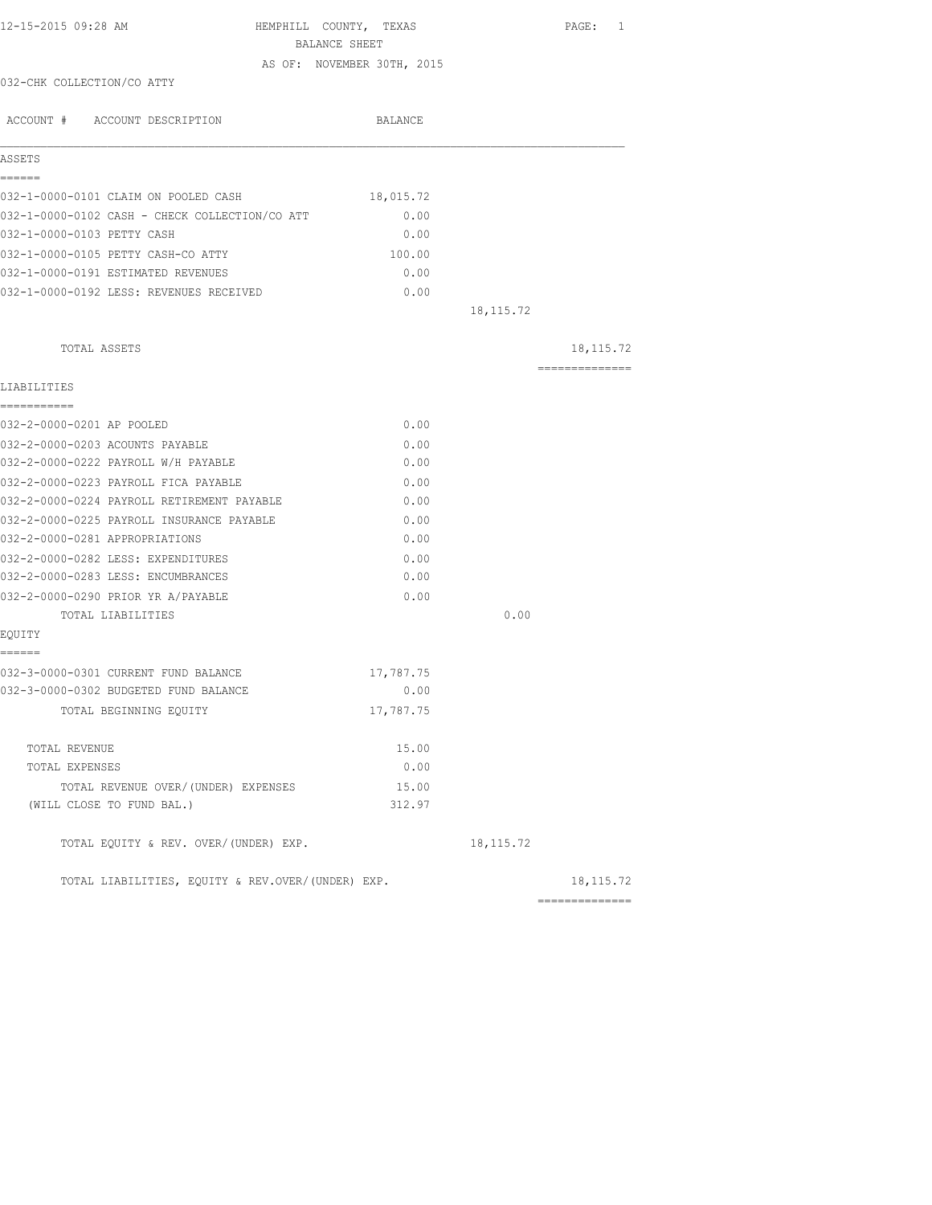| 12-15-2015 09:28 AM                               | HEMPHILL COUNTY, TEXAS |                                             |             | PAGE: 1         |  |
|---------------------------------------------------|------------------------|---------------------------------------------|-------------|-----------------|--|
|                                                   |                        | BALANCE SHEET<br>AS OF: NOVEMBER 30TH, 2015 |             |                 |  |
| 032-CHK COLLECTION/CO ATTY                        |                        |                                             |             |                 |  |
|                                                   |                        |                                             |             |                 |  |
| ACCOUNT # ACCOUNT DESCRIPTION                     |                        | BALANCE                                     |             |                 |  |
| ASSETS                                            |                        |                                             |             |                 |  |
| ------                                            |                        |                                             |             |                 |  |
| 032-1-0000-0101 CLAIM ON POOLED CASH              |                        | 18,015.72                                   |             |                 |  |
| 032-1-0000-0102 CASH - CHECK COLLECTION/CO ATT    |                        | 0.00                                        |             |                 |  |
| 032-1-0000-0103 PETTY CASH                        |                        | 0.00                                        |             |                 |  |
| 032-1-0000-0105 PETTY CASH-CO ATTY                |                        | 100.00                                      |             |                 |  |
| 032-1-0000-0191 ESTIMATED REVENUES                |                        | 0.00                                        |             |                 |  |
| 032-1-0000-0192 LESS: REVENUES RECEIVED           |                        | 0.00                                        |             |                 |  |
|                                                   |                        |                                             | 18, 115.72  |                 |  |
| TOTAL ASSETS                                      |                        |                                             |             | 18, 115. 72     |  |
| LIABILITIES                                       |                        |                                             |             | ==============  |  |
| -----------                                       |                        |                                             |             |                 |  |
| 032-2-0000-0201 AP POOLED                         |                        | 0.00                                        |             |                 |  |
| 032-2-0000-0203 ACOUNTS PAYABLE                   |                        | 0.00                                        |             |                 |  |
| 032-2-0000-0222 PAYROLL W/H PAYABLE               |                        | 0.00                                        |             |                 |  |
| 032-2-0000-0223 PAYROLL FICA PAYABLE              |                        | 0.00                                        |             |                 |  |
| 032-2-0000-0224 PAYROLL RETIREMENT PAYABLE        |                        | 0.00                                        |             |                 |  |
| 032-2-0000-0225 PAYROLL INSURANCE PAYABLE         |                        | 0.00                                        |             |                 |  |
| 032-2-0000-0281 APPROPRIATIONS                    |                        | 0.00                                        |             |                 |  |
| 032-2-0000-0282 LESS: EXPENDITURES                |                        | 0.00                                        |             |                 |  |
| 032-2-0000-0283 LESS: ENCUMBRANCES                |                        | 0.00                                        |             |                 |  |
| 032-2-0000-0290 PRIOR YR A/PAYABLE                |                        | 0.00                                        |             |                 |  |
| TOTAL LIABILITIES                                 |                        |                                             | 0.00        |                 |  |
| EOUITY<br>------                                  |                        |                                             |             |                 |  |
| 032-3-0000-0301 CURRENT FUND BALANCE              |                        | 17,787.75                                   |             |                 |  |
| 032-3-0000-0302 BUDGETED FUND BALANCE             |                        | 0.00                                        |             |                 |  |
| TOTAL BEGINNING EQUITY                            |                        | 17,787.75                                   |             |                 |  |
|                                                   |                        |                                             |             |                 |  |
| TOTAL REVENUE                                     |                        | 15.00<br>0.00                               |             |                 |  |
| TOTAL EXPENSES                                    |                        |                                             |             |                 |  |
| TOTAL REVENUE OVER/(UNDER) EXPENSES               |                        | 15.00<br>312.97                             |             |                 |  |
| (WILL CLOSE TO FUND BAL.)                         |                        |                                             |             |                 |  |
| TOTAL EQUITY & REV. OVER/(UNDER) EXP.             |                        |                                             | 18, 115. 72 |                 |  |
| TOTAL LIABILITIES, EQUITY & REV.OVER/(UNDER) EXP. |                        |                                             |             | 18, 115. 72     |  |
|                                                   |                        |                                             |             | --------------- |  |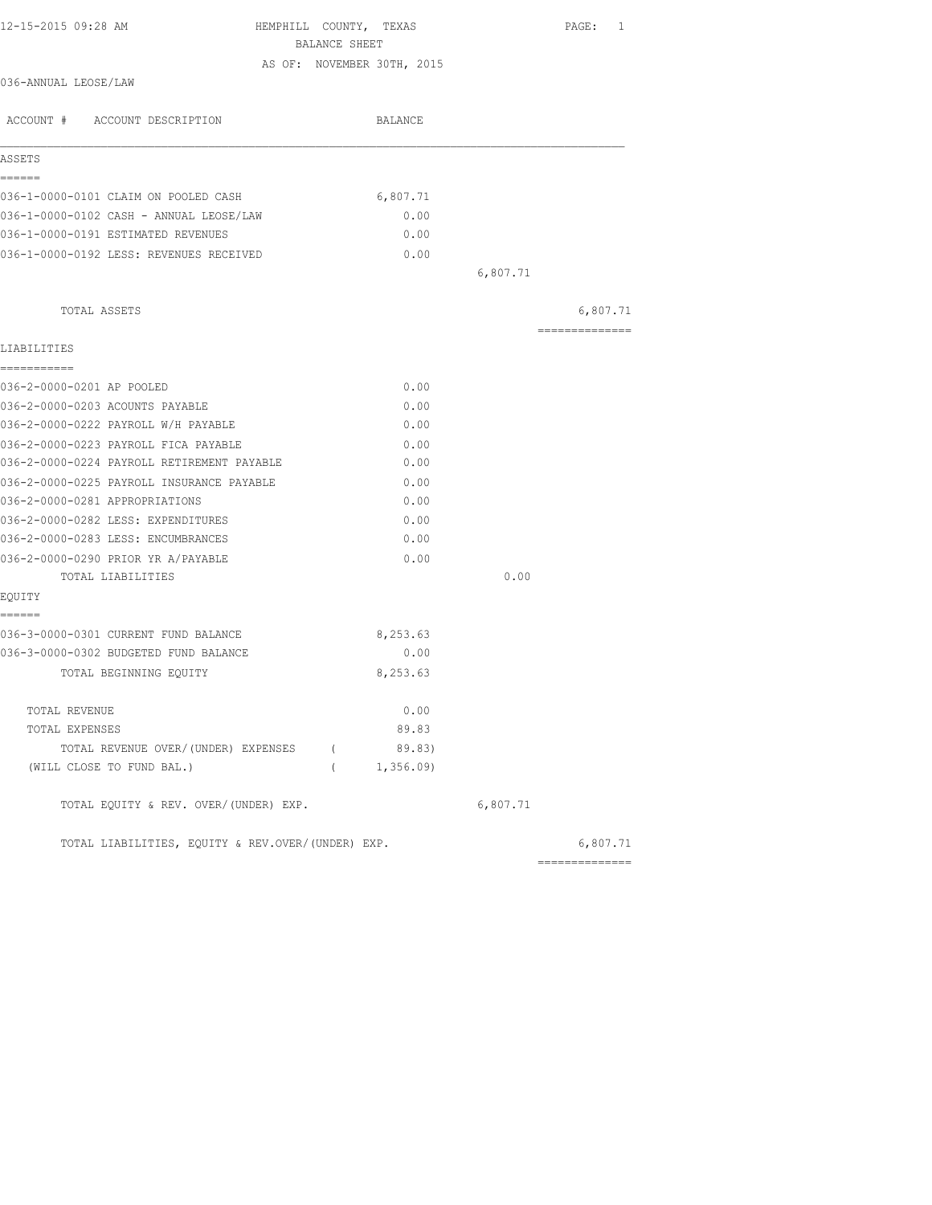|                                       |          |                                                                                                                                                                                                                          | PAGE: 1        |
|---------------------------------------|----------|--------------------------------------------------------------------------------------------------------------------------------------------------------------------------------------------------------------------------|----------------|
|                                       |          |                                                                                                                                                                                                                          |                |
|                                       |          |                                                                                                                                                                                                                          |                |
|                                       |          |                                                                                                                                                                                                                          |                |
|                                       | BALANCE  |                                                                                                                                                                                                                          |                |
|                                       |          |                                                                                                                                                                                                                          |                |
|                                       |          |                                                                                                                                                                                                                          |                |
|                                       | 6,807.71 |                                                                                                                                                                                                                          |                |
|                                       | 0.00     |                                                                                                                                                                                                                          |                |
|                                       | 0.00     |                                                                                                                                                                                                                          |                |
|                                       | 0.00     |                                                                                                                                                                                                                          |                |
|                                       |          | 6,807.71                                                                                                                                                                                                                 |                |
|                                       |          |                                                                                                                                                                                                                          | 6,807.71       |
|                                       |          |                                                                                                                                                                                                                          | ============== |
|                                       |          |                                                                                                                                                                                                                          |                |
|                                       |          |                                                                                                                                                                                                                          |                |
|                                       |          |                                                                                                                                                                                                                          |                |
|                                       |          |                                                                                                                                                                                                                          |                |
|                                       | 0.00     |                                                                                                                                                                                                                          |                |
|                                       | 0.00     |                                                                                                                                                                                                                          |                |
|                                       | 0.00     |                                                                                                                                                                                                                          |                |
|                                       | 0.00     |                                                                                                                                                                                                                          |                |
|                                       | 0.00     |                                                                                                                                                                                                                          |                |
|                                       | 0.00     |                                                                                                                                                                                                                          |                |
|                                       |          | 0.00                                                                                                                                                                                                                     |                |
|                                       |          |                                                                                                                                                                                                                          |                |
|                                       | 8,253.63 |                                                                                                                                                                                                                          |                |
|                                       | 0.00     |                                                                                                                                                                                                                          |                |
|                                       | 8,253.63 |                                                                                                                                                                                                                          |                |
|                                       | 0.00     |                                                                                                                                                                                                                          |                |
|                                       | 89.83    |                                                                                                                                                                                                                          |                |
|                                       |          |                                                                                                                                                                                                                          |                |
|                                       |          |                                                                                                                                                                                                                          |                |
| TOTAL EQUITY & REV. OVER/(UNDER) EXP. |          | 6,807.71                                                                                                                                                                                                                 |                |
|                                       |          |                                                                                                                                                                                                                          | 6,807.71       |
|                                       |          | HEMPHILL COUNTY, TEXAS<br>BALANCE SHEET<br>AS OF: NOVEMBER 30TH, 2015<br>0.00<br>0.00<br>0.00<br>0.00<br>TOTAL REVENUE OVER/(UNDER) EXPENSES (89.83)<br>(1, 356.09)<br>TOTAL LIABILITIES, EOUITY & REV.OVER/(UNDER) EXP. |                |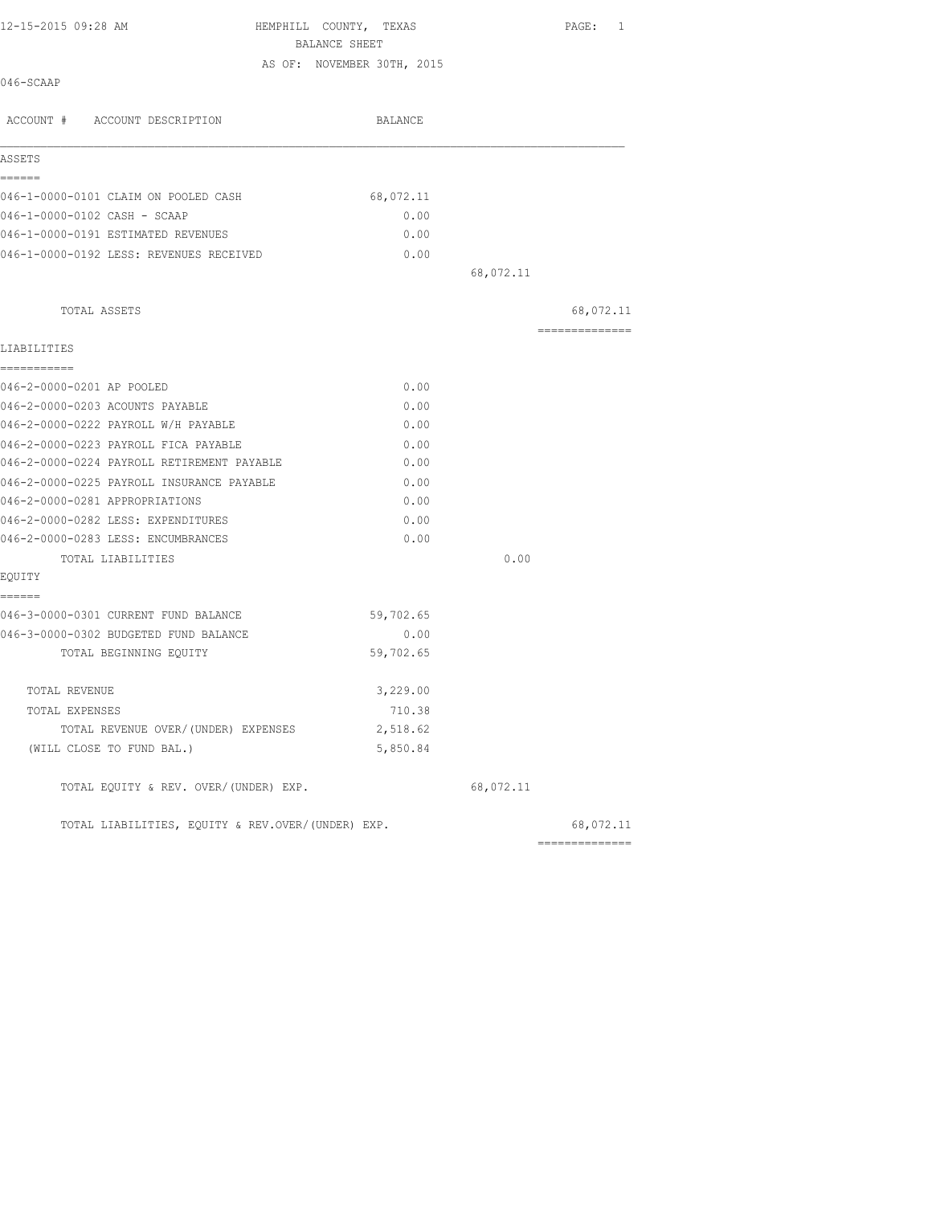| 12-15-2015 09:28 AM                               | HEMPHILL COUNTY, TEXAS                      |           | PAGE: 1        |
|---------------------------------------------------|---------------------------------------------|-----------|----------------|
|                                                   | BALANCE SHEET<br>AS OF: NOVEMBER 30TH, 2015 |           |                |
| 046-SCAAP                                         |                                             |           |                |
| ACCOUNT # ACCOUNT DESCRIPTION                     | BALANCE                                     |           |                |
|                                                   |                                             |           |                |
| ASSETS                                            |                                             |           |                |
| ======                                            |                                             |           |                |
| 046-1-0000-0101 CLAIM ON POOLED CASH              | 68,072.11                                   |           |                |
| 046-1-0000-0102 CASH - SCAAP                      | 0.00                                        |           |                |
| 046-1-0000-0191 ESTIMATED REVENUES                | 0.00                                        |           |                |
| 046-1-0000-0192 LESS: REVENUES RECEIVED           | 0.00                                        |           |                |
|                                                   |                                             | 68,072.11 |                |
| TOTAL ASSETS                                      |                                             |           | 68,072.11      |
|                                                   |                                             |           | ============== |
| LIABILITIES<br>===========                        |                                             |           |                |
| 046-2-0000-0201 AP POOLED                         | 0.00                                        |           |                |
| 046-2-0000-0203 ACOUNTS PAYABLE                   | 0.00                                        |           |                |
| 046-2-0000-0222 PAYROLL W/H PAYABLE               | 0.00                                        |           |                |
| 046-2-0000-0223 PAYROLL FICA PAYABLE              | 0.00                                        |           |                |
| 046-2-0000-0224 PAYROLL RETIREMENT PAYABLE        | 0.00                                        |           |                |
| 046-2-0000-0225 PAYROLL INSURANCE PAYABLE         | 0.00                                        |           |                |
| 046-2-0000-0281 APPROPRIATIONS                    | 0.00                                        |           |                |
| 046-2-0000-0282 LESS: EXPENDITURES                | 0.00                                        |           |                |
| 046-2-0000-0283 LESS: ENCUMBRANCES                | 0.00                                        |           |                |
| TOTAL LIABILITIES                                 |                                             | 0.00      |                |
| EQUITY                                            |                                             |           |                |
| ======                                            |                                             |           |                |
| 046-3-0000-0301 CURRENT FUND BALANCE              | 59,702.65                                   |           |                |
| 046-3-0000-0302 BUDGETED FUND BALANCE             | 0.00                                        |           |                |
| TOTAL BEGINNING EQUITY                            | 59,702.65                                   |           |                |
| TOTAL REVENUE                                     | 3,229.00                                    |           |                |
| TOTAL EXPENSES                                    | 710.38                                      |           |                |
| TOTAL REVENUE OVER/(UNDER) EXPENSES               | 2,518.62                                    |           |                |
| (WILL CLOSE TO FUND BAL.)                         | 5,850.84                                    |           |                |
| TOTAL EQUITY & REV. OVER/(UNDER) EXP.             |                                             | 68,072.11 |                |
| TOTAL LIABILITIES, EQUITY & REV.OVER/(UNDER) EXP. |                                             |           | 68,072.11      |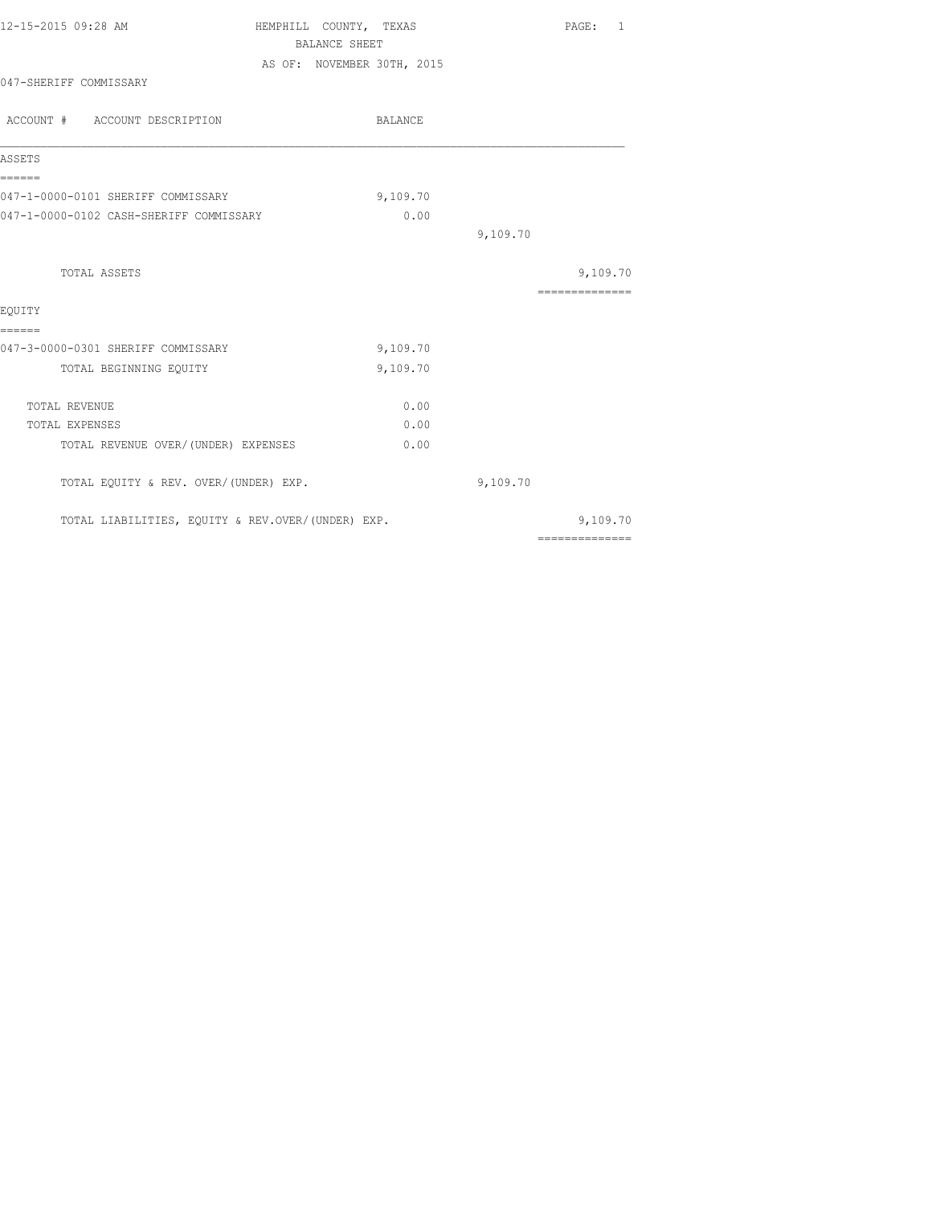|                                         |          |                                                                                                                                   | PAGE: 1         |
|-----------------------------------------|----------|-----------------------------------------------------------------------------------------------------------------------------------|-----------------|
|                                         |          |                                                                                                                                   |                 |
|                                         |          |                                                                                                                                   |                 |
|                                         |          |                                                                                                                                   |                 |
|                                         | BALANCE  |                                                                                                                                   |                 |
|                                         |          |                                                                                                                                   |                 |
| 047-1-0000-0101 SHERIFF COMMISSARY      | 9,109.70 |                                                                                                                                   |                 |
| 047-1-0000-0102 CASH-SHERIFF COMMISSARY | 0.00     |                                                                                                                                   |                 |
|                                         |          | 9,109.70                                                                                                                          |                 |
|                                         |          |                                                                                                                                   | 9,109.70        |
|                                         |          |                                                                                                                                   | --------------- |
|                                         |          |                                                                                                                                   |                 |
| 047-3-0000-0301 SHERIFF COMMISSARY      | 9,109.70 |                                                                                                                                   |                 |
|                                         | 9,109.70 |                                                                                                                                   |                 |
|                                         | 0.00     |                                                                                                                                   |                 |
|                                         | 0.00     |                                                                                                                                   |                 |
| TOTAL REVENUE OVER/(UNDER) EXPENSES     | 0.00     |                                                                                                                                   |                 |
| TOTAL EQUITY & REV. OVER/(UNDER) EXP.   |          | 9,109.70                                                                                                                          |                 |
|                                         |          |                                                                                                                                   | 9,109.70        |
|                                         |          | HEMPHILL COUNTY, TEXAS<br><b>BALANCE SHEET</b><br>AS OF: NOVEMBER 30TH, 2015<br>TOTAL LIABILITIES, EQUITY & REV.OVER/(UNDER) EXP. |                 |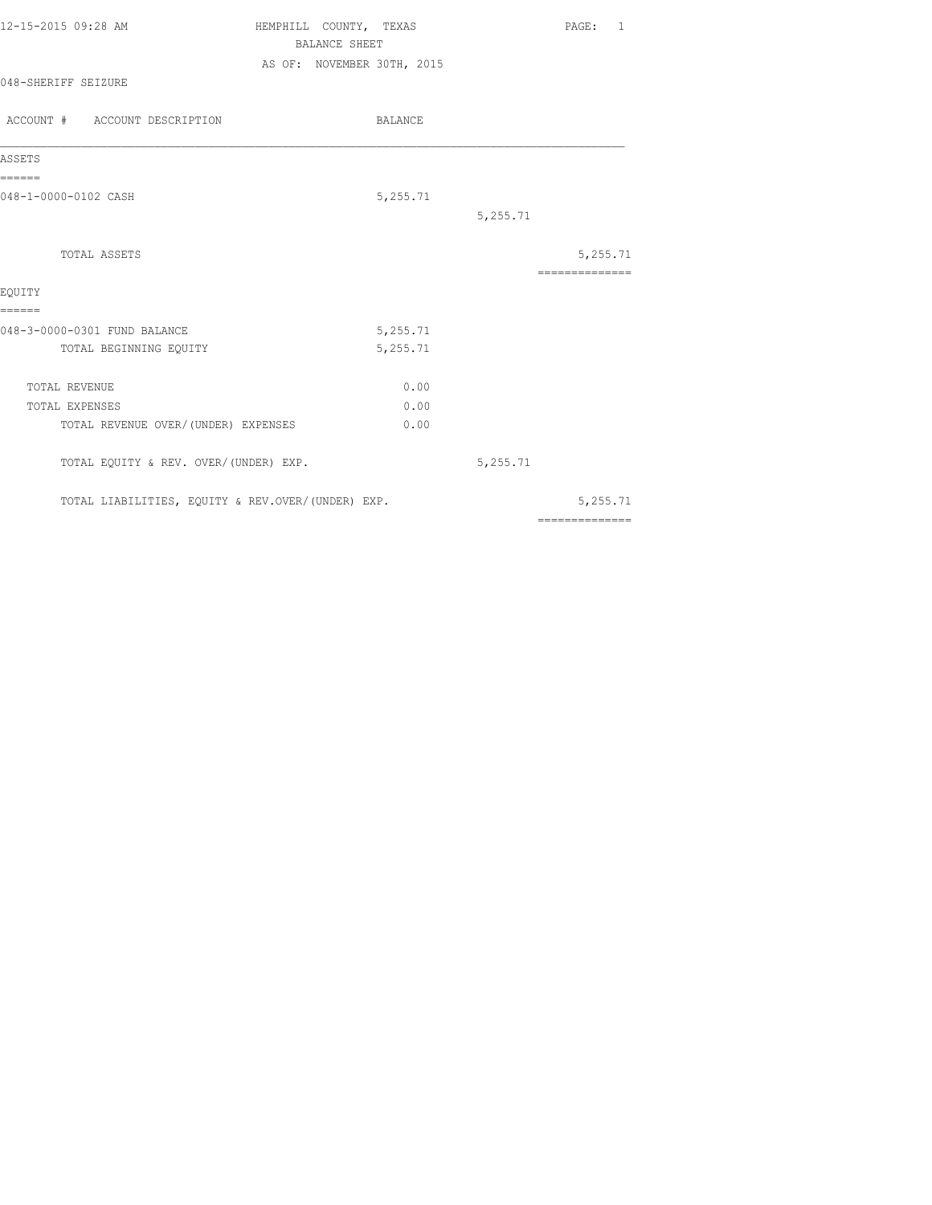| 12-15-2015 09:28 AM                               | HEMPHILL COUNTY, TEXAS     | PAGE: 1                                                                                                                                                                                                                                                                                                                                                                                                                                                                                |
|---------------------------------------------------|----------------------------|----------------------------------------------------------------------------------------------------------------------------------------------------------------------------------------------------------------------------------------------------------------------------------------------------------------------------------------------------------------------------------------------------------------------------------------------------------------------------------------|
|                                                   | <b>BALANCE SHEET</b>       |                                                                                                                                                                                                                                                                                                                                                                                                                                                                                        |
|                                                   | AS OF: NOVEMBER 30TH, 2015 |                                                                                                                                                                                                                                                                                                                                                                                                                                                                                        |
| 048-SHERIFF SEIZURE                               |                            |                                                                                                                                                                                                                                                                                                                                                                                                                                                                                        |
| ACCOUNT # ACCOUNT DESCRIPTION                     | BALANCE                    |                                                                                                                                                                                                                                                                                                                                                                                                                                                                                        |
| ASSETS                                            |                            |                                                                                                                                                                                                                                                                                                                                                                                                                                                                                        |
| ======                                            |                            |                                                                                                                                                                                                                                                                                                                                                                                                                                                                                        |
| 048-1-0000-0102 CASH                              | 5,255.71                   |                                                                                                                                                                                                                                                                                                                                                                                                                                                                                        |
|                                                   | 5,255.71                   |                                                                                                                                                                                                                                                                                                                                                                                                                                                                                        |
| TOTAL ASSETS                                      |                            | 5,255.71                                                                                                                                                                                                                                                                                                                                                                                                                                                                               |
|                                                   |                            | $\begin{array}{cccccccccccccc} \multicolumn{2}{c}{} & \multicolumn{2}{c}{} & \multicolumn{2}{c}{} & \multicolumn{2}{c}{} & \multicolumn{2}{c}{} & \multicolumn{2}{c}{} & \multicolumn{2}{c}{} & \multicolumn{2}{c}{} & \multicolumn{2}{c}{} & \multicolumn{2}{c}{} & \multicolumn{2}{c}{} & \multicolumn{2}{c}{} & \multicolumn{2}{c}{} & \multicolumn{2}{c}{} & \multicolumn{2}{c}{} & \multicolumn{2}{c}{} & \multicolumn{2}{c}{} & \multicolumn{2}{c}{} & \multicolumn{2}{c}{} & \$ |
| EOUITY                                            |                            |                                                                                                                                                                                                                                                                                                                                                                                                                                                                                        |
| ======                                            |                            |                                                                                                                                                                                                                                                                                                                                                                                                                                                                                        |
| 048-3-0000-0301 FUND BALANCE                      | 5,255.71                   |                                                                                                                                                                                                                                                                                                                                                                                                                                                                                        |
| TOTAL BEGINNING EQUITY                            | 5,255.71                   |                                                                                                                                                                                                                                                                                                                                                                                                                                                                                        |
| TOTAL REVENUE                                     | 0.00                       |                                                                                                                                                                                                                                                                                                                                                                                                                                                                                        |
| TOTAL EXPENSES                                    | 0.00                       |                                                                                                                                                                                                                                                                                                                                                                                                                                                                                        |
| TOTAL REVENUE OVER/ (UNDER) EXPENSES              | 0.00                       |                                                                                                                                                                                                                                                                                                                                                                                                                                                                                        |
| TOTAL EQUITY & REV. OVER/(UNDER) EXP.             | 5,255.71                   |                                                                                                                                                                                                                                                                                                                                                                                                                                                                                        |
| TOTAL LIABILITIES, EQUITY & REV.OVER/(UNDER) EXP. |                            | 5,255.71                                                                                                                                                                                                                                                                                                                                                                                                                                                                               |